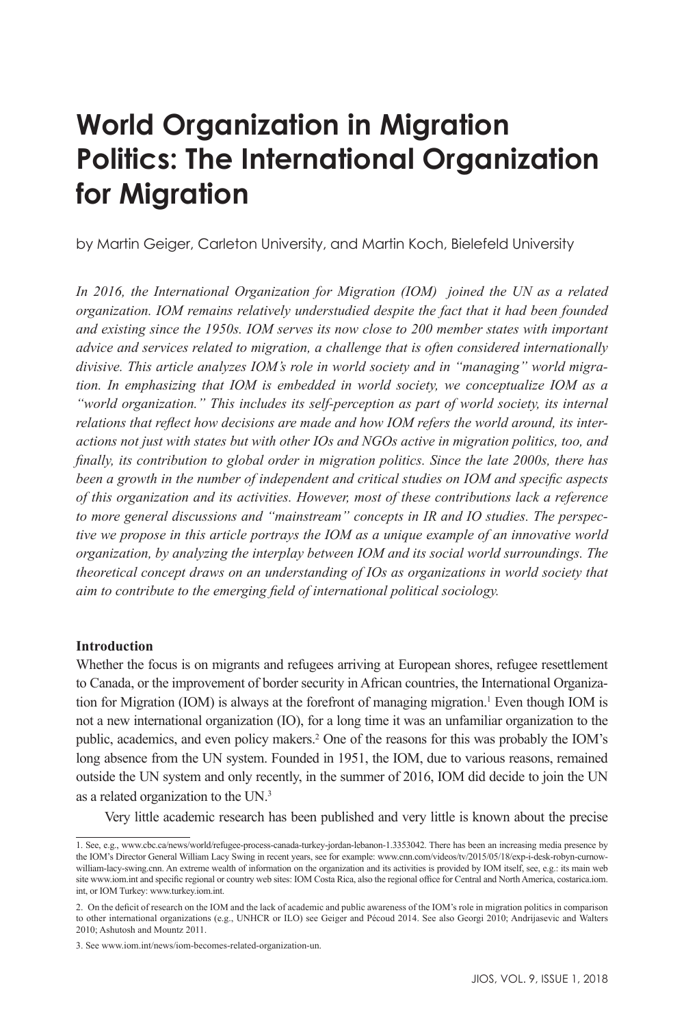# **World Organization in Migration Politics: The International Organization for Migration**

by Martin Geiger, Carleton University, and Martin Koch, Bielefeld University

*In 2016, the International Organization for Migration (IOM) joined the UN as a related organization. IOM remains relatively understudied despite the fact that it had been founded and existing since the 1950s. IOM serves its now close to 200 member states with important advice and services related to migration, a challenge that is often considered internationally divisive. This article analyzes IOM's role in world society and in "managing" world migration. In emphasizing that IOM is embedded in world society, we conceptualize IOM as a "world organization." This includes its self-perception as part of world society, its internal relations that reflect how decisions are made and how IOM refers the world around, its interactions not just with states but with other IOs and NGOs active in migration politics, too, and finally, its contribution to global order in migration politics. Since the late 2000s, there has been a growth in the number of independent and critical studies on IOM and specific aspects of this organization and its activities. However, most of these contributions lack a reference to more general discussions and "mainstream" concepts in IR and IO studies. The perspective we propose in this article portrays the IOM as a unique example of an innovative world organization, by analyzing the interplay between IOM and its social world surroundings. The theoretical concept draws on an understanding of IOs as organizations in world society that aim to contribute to the emerging field of international political sociology.*

#### **Introduction**

Whether the focus is on migrants and refugees arriving at European shores, refugee resettlement to Canada, or the improvement of border security in African countries, the International Organization for Migration (IOM) is always at the forefront of managing migration.<sup>1</sup> Even though IOM is not a new international organization (IO), for a long time it was an unfamiliar organization to the public, academics, and even policy makers.2 One of the reasons for this was probably the IOM's long absence from the UN system. Founded in 1951, the IOM, due to various reasons, remained outside the UN system and only recently, in the summer of 2016, IOM did decide to join the UN as a related organization to the UN.3

Very little academic research has been published and very little is known about the precise

<sup>1.</sup> See, e.g., www.cbc.ca/news/world/refugee-process-canada-turkey-jordan-lebanon-1.3353042. There has been an increasing media presence by the IOM's Director General William Lacy Swing in recent years, see for example: www.cnn.com/videos/tv/2015/05/18/exp-i-desk-robyn-curnowwilliam-lacy-swing.cnn. An extreme wealth of information on the organization and its activities is provided by IOM itself, see, e.g.: its main web site www.iom.int and specific regional or country web sites: IOM Costa Rica, also the regional office for Central and North America, costarica.iom. int, or IOM Turkey: www.turkey.iom.int.

<sup>2.</sup> On the deficit of research on the IOM and the lack of academic and public awareness of the IOM's role in migration politics in comparison to other international organizations (e.g., UNHCR or ILO) see Geiger and Pécoud 2014. See also Georgi 2010; Andrijasevic and Walters 2010; Ashutosh and Mountz 2011.

<sup>3.</sup> See www.iom.int/news/iom-becomes-related-organization-un.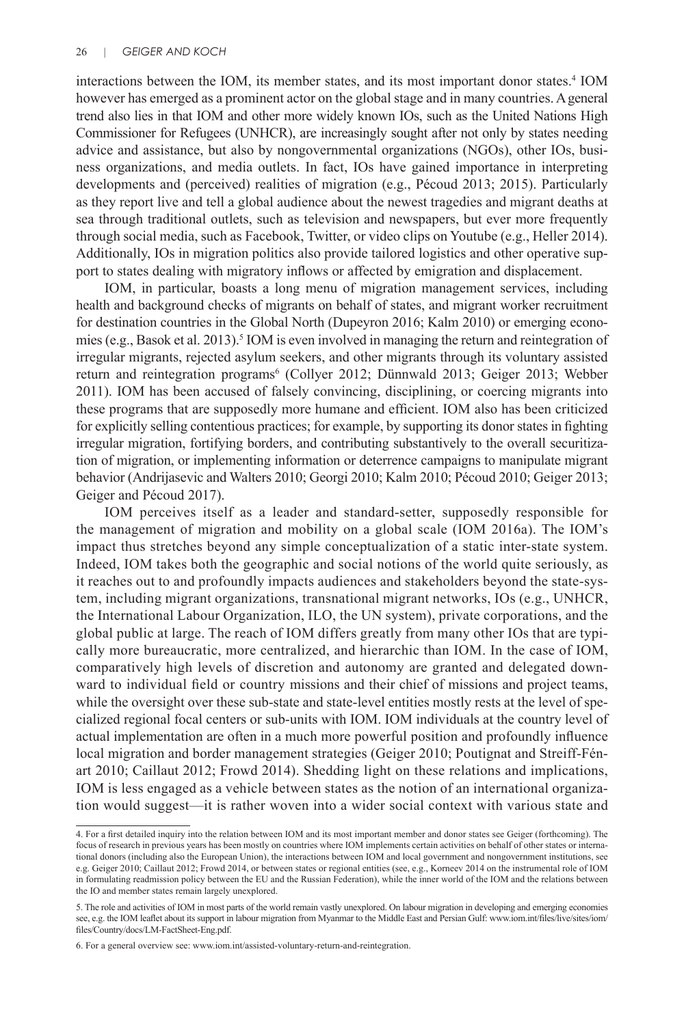interactions between the IOM, its member states, and its most important donor states.<sup>4</sup> IOM however has emerged as a prominent actor on the global stage and in many countries. A general trend also lies in that IOM and other more widely known IOs, such as the United Nations High Commissioner for Refugees (UNHCR), are increasingly sought after not only by states needing advice and assistance, but also by nongovernmental organizations (NGOs), other IOs, business organizations, and media outlets. In fact, IOs have gained importance in interpreting developments and (perceived) realities of migration (e.g., Pécoud 2013; 2015). Particularly as they report live and tell a global audience about the newest tragedies and migrant deaths at sea through traditional outlets, such as television and newspapers, but ever more frequently through social media, such as Facebook, Twitter, or video clips on Youtube (e.g., Heller 2014). Additionally, IOs in migration politics also provide tailored logistics and other operative support to states dealing with migratory inflows or affected by emigration and displacement.

IOM, in particular, boasts a long menu of migration management services, including health and background checks of migrants on behalf of states, and migrant worker recruitment for destination countries in the Global North (Dupeyron 2016; Kalm 2010) or emerging economies (e.g., Basok et al. 2013).<sup>5</sup> IOM is even involved in managing the return and reintegration of irregular migrants, rejected asylum seekers, and other migrants through its voluntary assisted return and reintegration programs<sup>6</sup> (Collyer 2012; Dünnwald 2013; Geiger 2013; Webber 2011). IOM has been accused of falsely convincing, disciplining, or coercing migrants into these programs that are supposedly more humane and efficient. IOM also has been criticized for explicitly selling contentious practices; for example, by supporting its donor states in fighting irregular migration, fortifying borders, and contributing substantively to the overall securitization of migration, or implementing information or deterrence campaigns to manipulate migrant behavior (Andrijasevic and Walters 2010; Georgi 2010; Kalm 2010; Pécoud 2010; Geiger 2013; Geiger and Pécoud 2017).

IOM perceives itself as a leader and standard-setter, supposedly responsible for the management of migration and mobility on a global scale (IOM 2016a). The IOM's impact thus stretches beyond any simple conceptualization of a static inter-state system. Indeed, IOM takes both the geographic and social notions of the world quite seriously, as it reaches out to and profoundly impacts audiences and stakeholders beyond the state-system, including migrant organizations, transnational migrant networks, IOs (e.g., UNHCR, the International Labour Organization, ILO, the UN system), private corporations, and the global public at large. The reach of IOM differs greatly from many other IOs that are typically more bureaucratic, more centralized, and hierarchic than IOM. In the case of IOM, comparatively high levels of discretion and autonomy are granted and delegated downward to individual field or country missions and their chief of missions and project teams, while the oversight over these sub-state and state-level entities mostly rests at the level of specialized regional focal centers or sub-units with IOM. IOM individuals at the country level of actual implementation are often in a much more powerful position and profoundly influence local migration and border management strategies (Geiger 2010; Poutignat and Streiff-Fénart 2010; Caillaut 2012; Frowd 2014). Shedding light on these relations and implications, IOM is less engaged as a vehicle between states as the notion of an international organization would suggest—it is rather woven into a wider social context with various state and

<sup>4.</sup> For a first detailed inquiry into the relation between IOM and its most important member and donor states see Geiger (forthcoming). The focus of research in previous years has been mostly on countries where IOM implements certain activities on behalf of other states or international donors (including also the European Union), the interactions between IOM and local government and nongovernment institutions, see e.g. Geiger 2010; Caillaut 2012; Frowd 2014, or between states or regional entities (see, e.g., Korneev 2014 on the instrumental role of IOM in formulating readmission policy between the EU and the Russian Federation), while the inner world of the IOM and the relations between the IO and member states remain largely unexplored.

<sup>5.</sup> The role and activities of IOM in most parts of the world remain vastly unexplored. On labour migration in developing and emerging economies see, e.g. the IOM leaflet about its support in labour migration from Myanmar to the Middle East and Persian Gulf: www.iom.int/files/live/sites/iom/ files/Country/docs/LM-FactSheet-Eng.pdf.

<sup>6.</sup> For a general overview see: www.iom.int/assisted-voluntary-return-and-reintegration.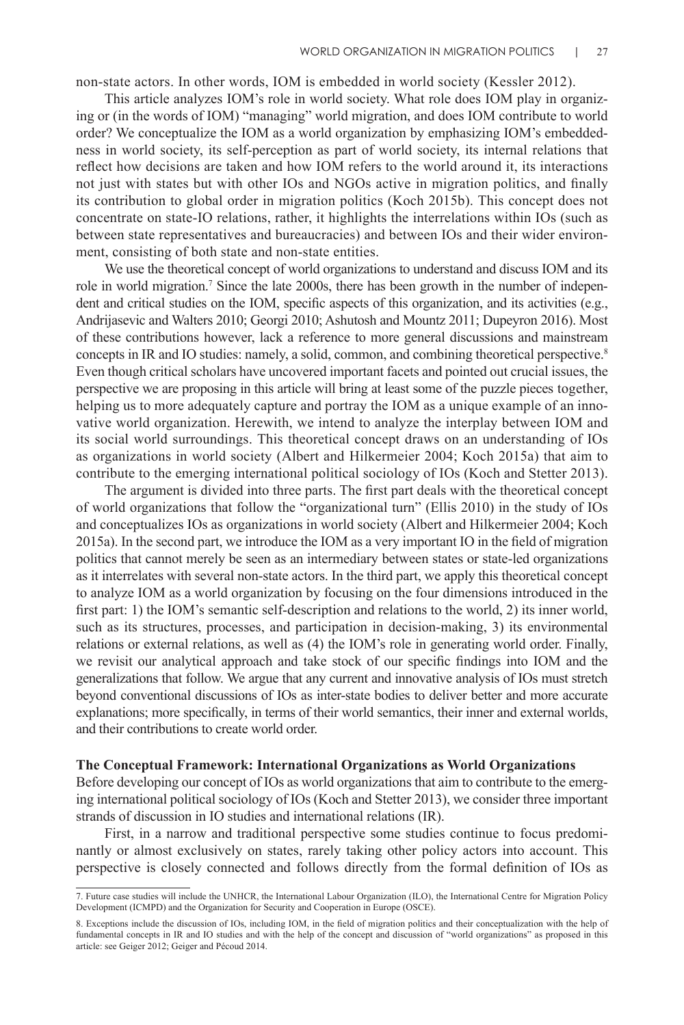non-state actors. In other words, IOM is embedded in world society (Kessler 2012).

This article analyzes IOM's role in world society. What role does IOM play in organizing or (in the words of IOM) "managing" world migration, and does IOM contribute to world order? We conceptualize the IOM as a world organization by emphasizing IOM's embeddedness in world society, its self-perception as part of world society, its internal relations that reflect how decisions are taken and how IOM refers to the world around it, its interactions not just with states but with other IOs and NGOs active in migration politics, and finally its contribution to global order in migration politics (Koch 2015b). This concept does not concentrate on state-IO relations, rather, it highlights the interrelations within IOs (such as between state representatives and bureaucracies) and between IOs and their wider environment, consisting of both state and non-state entities.

We use the theoretical concept of world organizations to understand and discuss IOM and its role in world migration.<sup>7</sup> Since the late 2000s, there has been growth in the number of independent and critical studies on the IOM, specific aspects of this organization, and its activities (e.g., Andrijasevic and Walters 2010; Georgi 2010; Ashutosh and Mountz 2011; Dupeyron 2016). Most of these contributions however, lack a reference to more general discussions and mainstream concepts in IR and IO studies: namely, a solid, common, and combining theoretical perspective.<sup>8</sup> Even though critical scholars have uncovered important facets and pointed out crucial issues, the perspective we are proposing in this article will bring at least some of the puzzle pieces together, helping us to more adequately capture and portray the IOM as a unique example of an innovative world organization. Herewith, we intend to analyze the interplay between IOM and its social world surroundings. This theoretical concept draws on an understanding of IOs as organizations in world society (Albert and Hilkermeier 2004; Koch 2015a) that aim to contribute to the emerging international political sociology of IOs (Koch and Stetter 2013).

The argument is divided into three parts. The first part deals with the theoretical concept of world organizations that follow the "organizational turn" (Ellis 2010) in the study of IOs and conceptualizes IOs as organizations in world society (Albert and Hilkermeier 2004; Koch 2015a). In the second part, we introduce the IOM as a very important IO in the field of migration politics that cannot merely be seen as an intermediary between states or state-led organizations as it interrelates with several non-state actors. In the third part, we apply this theoretical concept to analyze IOM as a world organization by focusing on the four dimensions introduced in the first part: 1) the IOM's semantic self-description and relations to the world, 2) its inner world, such as its structures, processes, and participation in decision-making, 3) its environmental relations or external relations, as well as (4) the IOM's role in generating world order. Finally, we revisit our analytical approach and take stock of our specific findings into IOM and the generalizations that follow. We argue that any current and innovative analysis of IOs must stretch beyond conventional discussions of IOs as inter-state bodies to deliver better and more accurate explanations; more specifically, in terms of their world semantics, their inner and external worlds, and their contributions to create world order.

#### **The Conceptual Framework: International Organizations as World Organizations**

Before developing our concept of IOs as world organizations that aim to contribute to the emerging international political sociology of IOs (Koch and Stetter 2013), we consider three important strands of discussion in IO studies and international relations (IR).

First, in a narrow and traditional perspective some studies continue to focus predominantly or almost exclusively on states, rarely taking other policy actors into account. This perspective is closely connected and follows directly from the formal definition of IOs as

<sup>7.</sup> Future case studies will include the UNHCR, the International Labour Organization (ILO), the International Centre for Migration Policy Development (ICMPD) and the Organization for Security and Cooperation in Europe (OSCE).

<sup>8.</sup> Exceptions include the discussion of IOs, including IOM, in the field of migration politics and their conceptualization with the help of fundamental concepts in IR and IO studies and with the help of the concept and discussion of "world organizations" as proposed in this article: see Geiger 2012; Geiger and Pécoud 2014.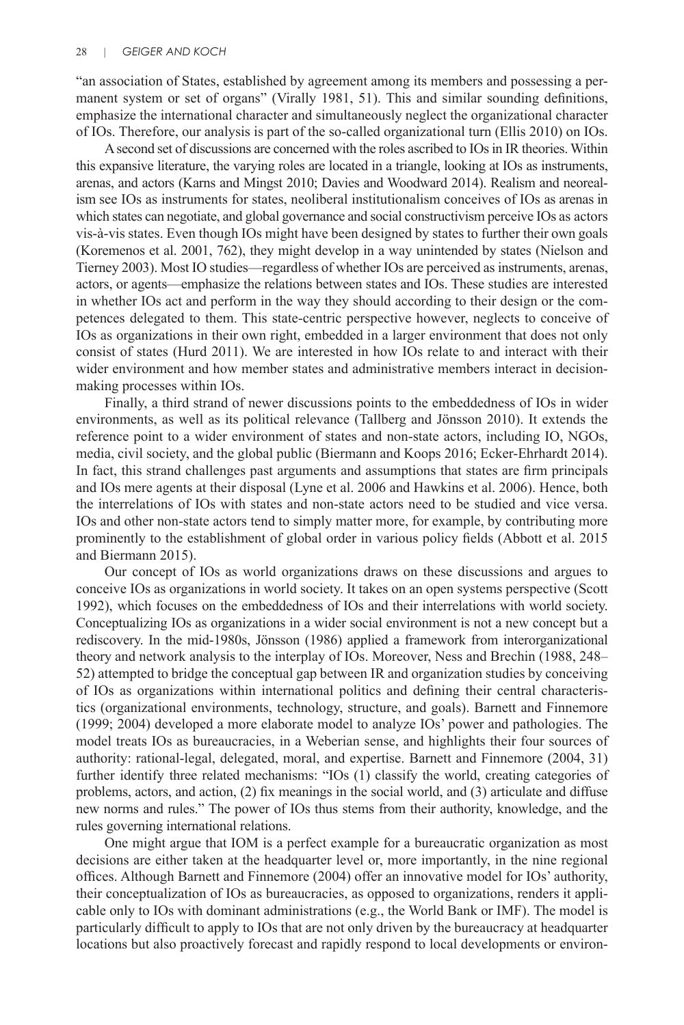"an association of States, established by agreement among its members and possessing a permanent system or set of organs" (Virally 1981, 51). This and similar sounding definitions, emphasize the international character and simultaneously neglect the organizational character of IOs. Therefore, our analysis is part of the so-called organizational turn (Ellis 2010) on IOs.

A second set of discussions are concerned with the roles ascribed to IOs in IR theories. Within this expansive literature, the varying roles are located in a triangle, looking at IOs as instruments, arenas, and actors (Karns and Mingst 2010; Davies and Woodward 2014). Realism and neorealism see IOs as instruments for states, neoliberal institutionalism conceives of IOs as arenas in which states can negotiate, and global governance and social constructivism perceive IOs as actors vis-à-vis states. Even though IOs might have been designed by states to further their own goals (Koremenos et al. 2001, 762), they might develop in a way unintended by states (Nielson and Tierney 2003). Most IO studies—regardless of whether IOs are perceived as instruments, arenas, actors, or agents—emphasize the relations between states and IOs. These studies are interested in whether IOs act and perform in the way they should according to their design or the competences delegated to them. This state-centric perspective however, neglects to conceive of IOs as organizations in their own right, embedded in a larger environment that does not only consist of states (Hurd 2011). We are interested in how IOs relate to and interact with their wider environment and how member states and administrative members interact in decisionmaking processes within IOs.

Finally, a third strand of newer discussions points to the embeddedness of IOs in wider environments, as well as its political relevance (Tallberg and Jönsson 2010). It extends the reference point to a wider environment of states and non-state actors, including IO, NGOs, media, civil society, and the global public (Biermann and Koops 2016; Ecker-Ehrhardt 2014). In fact, this strand challenges past arguments and assumptions that states are firm principals and IOs mere agents at their disposal (Lyne et al. 2006 and Hawkins et al. 2006). Hence, both the interrelations of IOs with states and non-state actors need to be studied and vice versa. IOs and other non-state actors tend to simply matter more, for example, by contributing more prominently to the establishment of global order in various policy fields (Abbott et al. 2015 and Biermann 2015).

Our concept of IOs as world organizations draws on these discussions and argues to conceive IOs as organizations in world society. It takes on an open systems perspective (Scott 1992), which focuses on the embeddedness of IOs and their interrelations with world society. Conceptualizing IOs as organizations in a wider social environment is not a new concept but a rediscovery. In the mid-1980s, Jönsson (1986) applied a framework from interorganizational theory and network analysis to the interplay of IOs. Moreover, Ness and Brechin (1988, 248– 52) attempted to bridge the conceptual gap between IR and organization studies by conceiving of IOs as organizations within international politics and defining their central characteristics (organizational environments, technology, structure, and goals). Barnett and Finnemore (1999; 2004) developed a more elaborate model to analyze IOs' power and pathologies. The model treats IOs as bureaucracies, in a Weberian sense, and highlights their four sources of authority: rational-legal, delegated, moral, and expertise. Barnett and Finnemore (2004, 31) further identify three related mechanisms: "IOs (1) classify the world, creating categories of problems, actors, and action, (2) fix meanings in the social world, and (3) articulate and diffuse new norms and rules." The power of IOs thus stems from their authority, knowledge, and the rules governing international relations.

One might argue that IOM is a perfect example for a bureaucratic organization as most decisions are either taken at the headquarter level or, more importantly, in the nine regional offices. Although Barnett and Finnemore (2004) offer an innovative model for IOs' authority, their conceptualization of IOs as bureaucracies, as opposed to organizations, renders it applicable only to IOs with dominant administrations (e.g., the World Bank or IMF). The model is particularly difficult to apply to IOs that are not only driven by the bureaucracy at headquarter locations but also proactively forecast and rapidly respond to local developments or environ-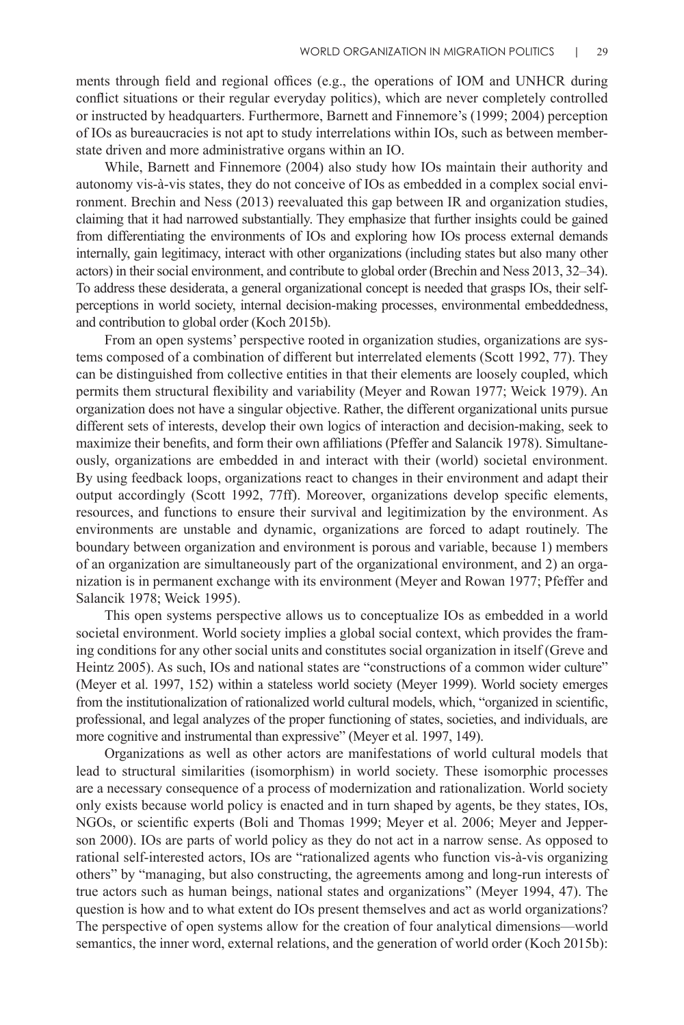ments through field and regional offices (e.g., the operations of IOM and UNHCR during conflict situations or their regular everyday politics), which are never completely controlled or instructed by headquarters. Furthermore, Barnett and Finnemore's (1999; 2004) perception of IOs as bureaucracies is not apt to study interrelations within IOs, such as between memberstate driven and more administrative organs within an IO.

While, Barnett and Finnemore (2004) also study how IOs maintain their authority and autonomy vis-à-vis states, they do not conceive of IOs as embedded in a complex social environment. Brechin and Ness (2013) reevaluated this gap between IR and organization studies, claiming that it had narrowed substantially. They emphasize that further insights could be gained from differentiating the environments of IOs and exploring how IOs process external demands internally, gain legitimacy, interact with other organizations (including states but also many other actors) in their social environment, and contribute to global order (Brechin and Ness 2013, 32–34). To address these desiderata, a general organizational concept is needed that grasps IOs, their selfperceptions in world society, internal decision-making processes, environmental embeddedness, and contribution to global order (Koch 2015b).

From an open systems' perspective rooted in organization studies, organizations are systems composed of a combination of different but interrelated elements (Scott 1992, 77). They can be distinguished from collective entities in that their elements are loosely coupled, which permits them structural flexibility and variability (Meyer and Rowan 1977; Weick 1979). An organization does not have a singular objective. Rather, the different organizational units pursue different sets of interests, develop their own logics of interaction and decision-making, seek to maximize their benefits, and form their own affiliations (Pfeffer and Salancik 1978). Simultaneously, organizations are embedded in and interact with their (world) societal environment. By using feedback loops, organizations react to changes in their environment and adapt their output accordingly (Scott 1992, 77ff). Moreover, organizations develop specific elements, resources, and functions to ensure their survival and legitimization by the environment. As environments are unstable and dynamic, organizations are forced to adapt routinely. The boundary between organization and environment is porous and variable, because 1) members of an organization are simultaneously part of the organizational environment, and 2) an organization is in permanent exchange with its environment (Meyer and Rowan 1977; Pfeffer and Salancik 1978; Weick 1995).

This open systems perspective allows us to conceptualize IOs as embedded in a world societal environment. World society implies a global social context, which provides the framing conditions for any other social units and constitutes social organization in itself (Greve and Heintz 2005). As such, IOs and national states are "constructions of a common wider culture" (Meyer et al. 1997, 152) within a stateless world society (Meyer 1999). World society emerges from the institutionalization of rationalized world cultural models, which, "organized in scientific, professional, and legal analyzes of the proper functioning of states, societies, and individuals, are more cognitive and instrumental than expressive" (Meyer et al. 1997, 149).

Organizations as well as other actors are manifestations of world cultural models that lead to structural similarities (isomorphism) in world society. These isomorphic processes are a necessary consequence of a process of modernization and rationalization. World society only exists because world policy is enacted and in turn shaped by agents, be they states, IOs, NGOs, or scientific experts (Boli and Thomas 1999; Meyer et al. 2006; Meyer and Jepperson 2000). IOs are parts of world policy as they do not act in a narrow sense. As opposed to rational self-interested actors, IOs are "rationalized agents who function vis-à-vis organizing others" by "managing, but also constructing, the agreements among and long-run interests of true actors such as human beings, national states and organizations" (Meyer 1994, 47). The question is how and to what extent do IOs present themselves and act as world organizations? The perspective of open systems allow for the creation of four analytical dimensions—world semantics, the inner word, external relations, and the generation of world order (Koch 2015b):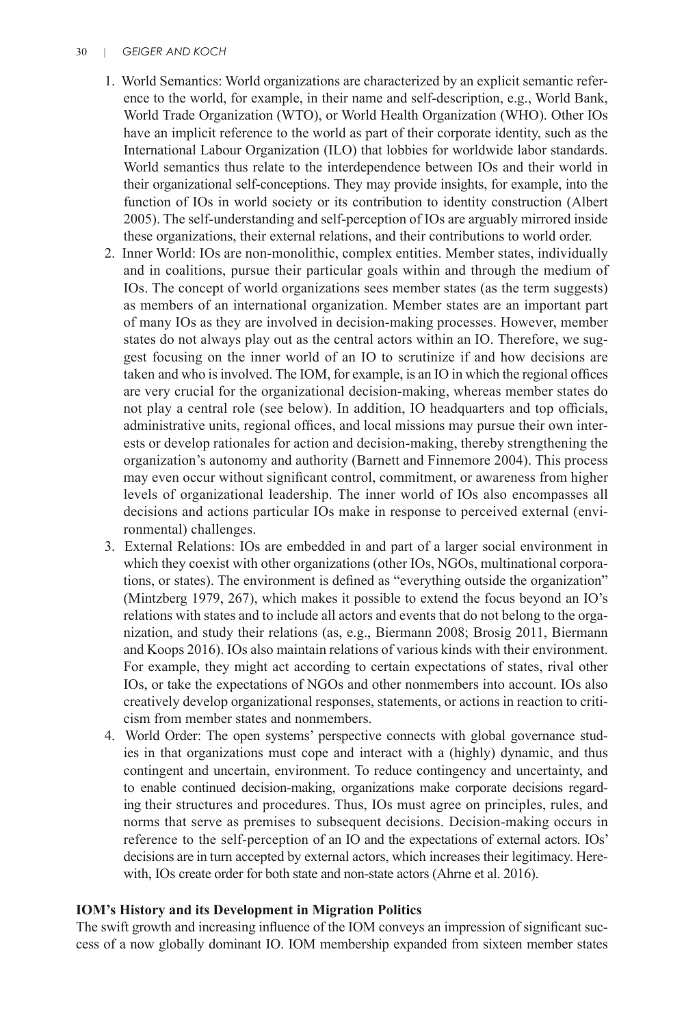## 30 | *GEIGER AND KOCH*

- 1. World Semantics: World organizations are characterized by an explicit semantic reference to the world, for example, in their name and self-description, e.g., World Bank, World Trade Organization (WTO), or World Health Organization (WHO). Other IOs have an implicit reference to the world as part of their corporate identity, such as the International Labour Organization (ILO) that lobbies for worldwide labor standards. World semantics thus relate to the interdependence between IOs and their world in their organizational self-conceptions. They may provide insights, for example, into the function of IOs in world society or its contribution to identity construction (Albert 2005). The self-understanding and self-perception of IOs are arguably mirrored inside these organizations, their external relations, and their contributions to world order.
- 2. Inner World: IOs are non-monolithic, complex entities. Member states, individually and in coalitions, pursue their particular goals within and through the medium of IOs. The concept of world organizations sees member states (as the term suggests) as members of an international organization. Member states are an important part of many IOs as they are involved in decision-making processes. However, member states do not always play out as the central actors within an IO. Therefore, we suggest focusing on the inner world of an IO to scrutinize if and how decisions are taken and who is involved. The IOM, for example, is an IO in which the regional offices are very crucial for the organizational decision-making, whereas member states do not play a central role (see below). In addition, IO headquarters and top officials, administrative units, regional offices, and local missions may pursue their own interests or develop rationales for action and decision-making, thereby strengthening the organization's autonomy and authority (Barnett and Finnemore 2004). This process may even occur without significant control, commitment, or awareness from higher levels of organizational leadership. The inner world of IOs also encompasses all decisions and actions particular IOs make in response to perceived external (environmental) challenges.
- 3. External Relations: IOs are embedded in and part of a larger social environment in which they coexist with other organizations (other IOs, NGOs, multinational corporations, or states). The environment is defined as "everything outside the organization" (Mintzberg 1979, 267), which makes it possible to extend the focus beyond an IO's relations with states and to include all actors and events that do not belong to the organization, and study their relations (as, e.g., Biermann 2008; Brosig 2011, Biermann and Koops 2016). IOs also maintain relations of various kinds with their environment. For example, they might act according to certain expectations of states, rival other IOs, or take the expectations of NGOs and other nonmembers into account. IOs also creatively develop organizational responses, statements, or actions in reaction to criticism from member states and nonmembers.
- 4. World Order: The open systems' perspective connects with global governance studies in that organizations must cope and interact with a (highly) dynamic, and thus contingent and uncertain, environment. To reduce contingency and uncertainty, and to enable continued decision-making, organizations make corporate decisions regarding their structures and procedures. Thus, IOs must agree on principles, rules, and norms that serve as premises to subsequent decisions. Decision-making occurs in reference to the self-perception of an IO and the expectations of external actors. IOs' decisions are in turn accepted by external actors, which increases their legitimacy. Herewith, IOs create order for both state and non-state actors (Ahrne et al. 2016).

# **IOM's History and its Development in Migration Politics**

The swift growth and increasing influence of the IOM conveys an impression of significant success of a now globally dominant IO. IOM membership expanded from sixteen member states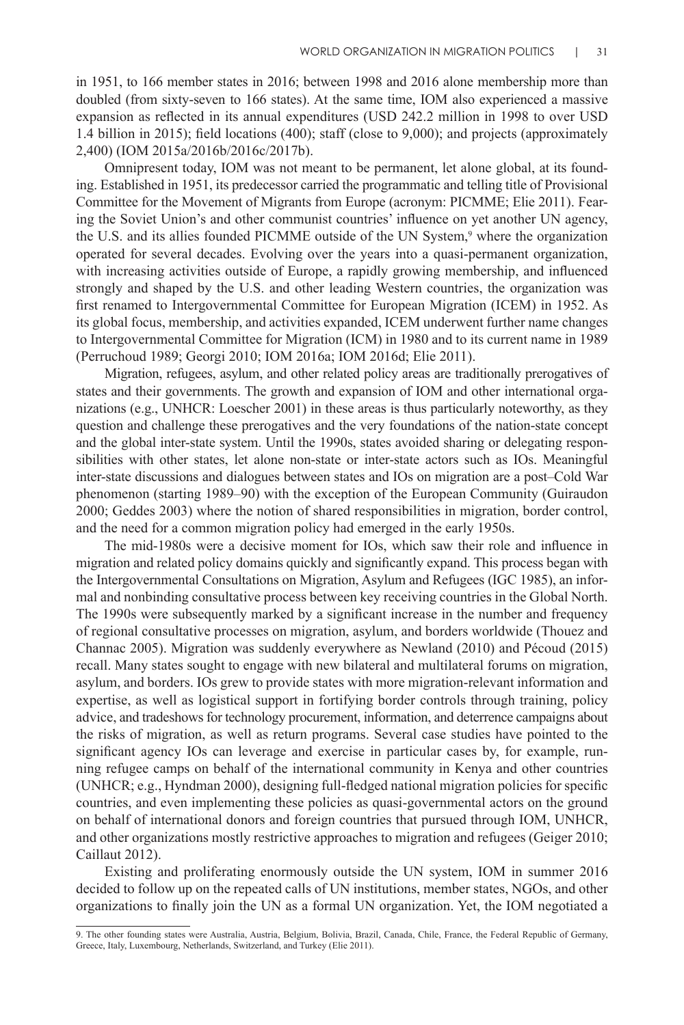in 1951, to 166 member states in 2016; between 1998 and 2016 alone membership more than doubled (from sixty-seven to 166 states). At the same time, IOM also experienced a massive expansion as reflected in its annual expenditures (USD 242.2 million in 1998 to over USD 1.4 billion in 2015); field locations (400); staff (close to 9,000); and projects (approximately 2,400) (IOM 2015a/2016b/2016c/2017b).

Omnipresent today, IOM was not meant to be permanent, let alone global, at its founding. Established in 1951, its predecessor carried the programmatic and telling title of Provisional Committee for the Movement of Migrants from Europe (acronym: PICMME; Elie 2011). Fearing the Soviet Union's and other communist countries' influence on yet another UN agency, the U.S. and its allies founded PICMME outside of the UN System,<sup>9</sup> where the organization operated for several decades. Evolving over the years into a quasi-permanent organization, with increasing activities outside of Europe, a rapidly growing membership, and influenced strongly and shaped by the U.S. and other leading Western countries, the organization was first renamed to Intergovernmental Committee for European Migration (ICEM) in 1952. As its global focus, membership, and activities expanded, ICEM underwent further name changes to Intergovernmental Committee for Migration (ICM) in 1980 and to its current name in 1989 (Perruchoud 1989; Georgi 2010; IOM 2016a; IOM 2016d; Elie 2011).

Migration, refugees, asylum, and other related policy areas are traditionally prerogatives of states and their governments. The growth and expansion of IOM and other international organizations (e.g., UNHCR: Loescher 2001) in these areas is thus particularly noteworthy, as they question and challenge these prerogatives and the very foundations of the nation-state concept and the global inter-state system. Until the 1990s, states avoided sharing or delegating responsibilities with other states, let alone non-state or inter-state actors such as IOs. Meaningful inter-state discussions and dialogues between states and IOs on migration are a post–Cold War phenomenon (starting 1989–90) with the exception of the European Community (Guiraudon 2000; Geddes 2003) where the notion of shared responsibilities in migration, border control, and the need for a common migration policy had emerged in the early 1950s.

The mid-1980s were a decisive moment for IOs, which saw their role and influence in migration and related policy domains quickly and significantly expand. This process began with the Intergovernmental Consultations on Migration, Asylum and Refugees (IGC 1985), an informal and nonbinding consultative process between key receiving countries in the Global North. The 1990s were subsequently marked by a significant increase in the number and frequency of regional consultative processes on migration, asylum, and borders worldwide (Thouez and Channac 2005). Migration was suddenly everywhere as Newland (2010) and Pécoud (2015) recall. Many states sought to engage with new bilateral and multilateral forums on migration, asylum, and borders. IOs grew to provide states with more migration-relevant information and expertise, as well as logistical support in fortifying border controls through training, policy advice, and tradeshows for technology procurement, information, and deterrence campaigns about the risks of migration, as well as return programs. Several case studies have pointed to the significant agency IOs can leverage and exercise in particular cases by, for example, running refugee camps on behalf of the international community in Kenya and other countries (UNHCR; e.g., Hyndman 2000), designing full-fledged national migration policies for specific countries, and even implementing these policies as quasi-governmental actors on the ground on behalf of international donors and foreign countries that pursued through IOM, UNHCR, and other organizations mostly restrictive approaches to migration and refugees (Geiger 2010; Caillaut 2012).

Existing and proliferating enormously outside the UN system, IOM in summer 2016 decided to follow up on the repeated calls of UN institutions, member states, NGOs, and other organizations to finally join the UN as a formal UN organization. Yet, the IOM negotiated a

<sup>9.</sup> The other founding states were Australia, Austria, Belgium, Bolivia, Brazil, Canada, Chile, France, the Federal Republic of Germany, Greece, Italy, Luxembourg, Netherlands, Switzerland, and Turkey (Elie 2011).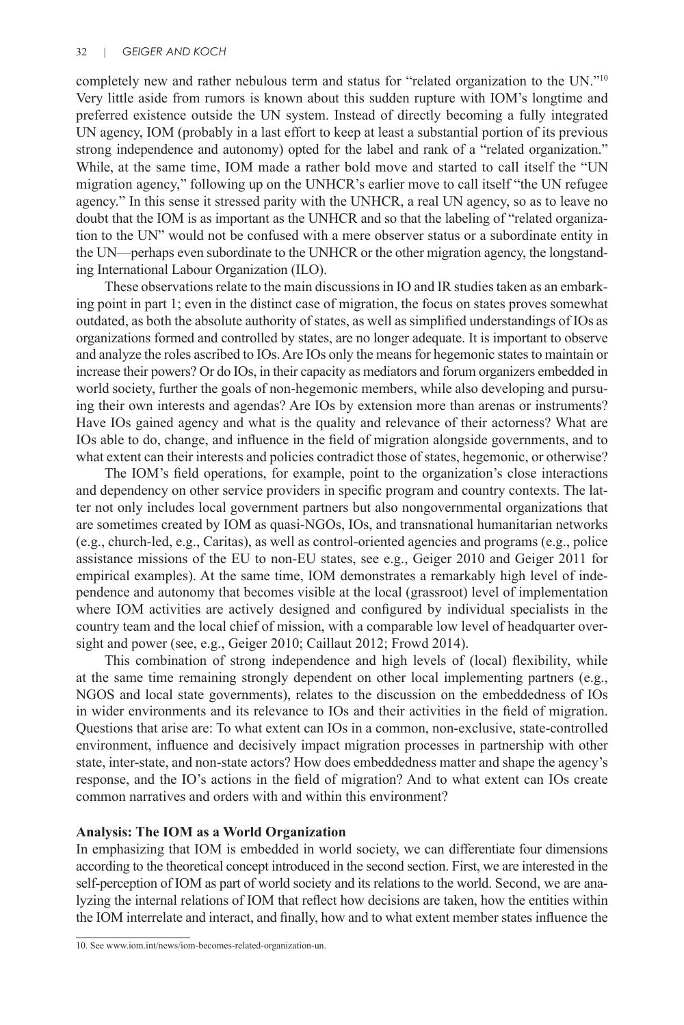completely new and rather nebulous term and status for "related organization to the UN."10 Very little aside from rumors is known about this sudden rupture with IOM's longtime and preferred existence outside the UN system. Instead of directly becoming a fully integrated UN agency, IOM (probably in a last effort to keep at least a substantial portion of its previous strong independence and autonomy) opted for the label and rank of a "related organization." While, at the same time, IOM made a rather bold move and started to call itself the "UN migration agency," following up on the UNHCR's earlier move to call itself "the UN refugee agency." In this sense it stressed parity with the UNHCR, a real UN agency, so as to leave no doubt that the IOM is as important as the UNHCR and so that the labeling of "related organization to the UN" would not be confused with a mere observer status or a subordinate entity in the UN—perhaps even subordinate to the UNHCR or the other migration agency, the longstanding International Labour Organization (ILO).

These observations relate to the main discussions in IO and IR studies taken as an embarking point in part 1; even in the distinct case of migration, the focus on states proves somewhat outdated, as both the absolute authority of states, as well as simplified understandings of IOs as organizations formed and controlled by states, are no longer adequate. It is important to observe and analyze the roles ascribed to IOs. Are IOs only the means for hegemonic states to maintain or increase their powers? Or do IOs, in their capacity as mediators and forum organizers embedded in world society, further the goals of non-hegemonic members, while also developing and pursuing their own interests and agendas? Are IOs by extension more than arenas or instruments? Have IOs gained agency and what is the quality and relevance of their actorness? What are IOs able to do, change, and influence in the field of migration alongside governments, and to what extent can their interests and policies contradict those of states, hegemonic, or otherwise?

The IOM's field operations, for example, point to the organization's close interactions and dependency on other service providers in specific program and country contexts. The latter not only includes local government partners but also nongovernmental organizations that are sometimes created by IOM as quasi-NGOs, IOs, and transnational humanitarian networks (e.g., church-led, e.g., Caritas), as well as control-oriented agencies and programs (e.g., police assistance missions of the EU to non-EU states, see e.g., Geiger 2010 and Geiger 2011 for empirical examples). At the same time, IOM demonstrates a remarkably high level of independence and autonomy that becomes visible at the local (grassroot) level of implementation where IOM activities are actively designed and configured by individual specialists in the country team and the local chief of mission, with a comparable low level of headquarter oversight and power (see, e.g., Geiger 2010; Caillaut 2012; Frowd 2014).

This combination of strong independence and high levels of (local) flexibility, while at the same time remaining strongly dependent on other local implementing partners (e.g., NGOS and local state governments), relates to the discussion on the embeddedness of IOs in wider environments and its relevance to IOs and their activities in the field of migration. Questions that arise are: To what extent can IOs in a common, non-exclusive, state-controlled environment, influence and decisively impact migration processes in partnership with other state, inter-state, and non-state actors? How does embeddedness matter and shape the agency's response, and the IO's actions in the field of migration? And to what extent can IOs create common narratives and orders with and within this environment?

# **Analysis: The IOM as a World Organization**

In emphasizing that IOM is embedded in world society, we can differentiate four dimensions according to the theoretical concept introduced in the second section. First, we are interested in the self-perception of IOM as part of world society and its relations to the world. Second, we are analyzing the internal relations of IOM that reflect how decisions are taken, how the entities within the IOM interrelate and interact, and finally, how and to what extent member states influence the

<sup>10.</sup> See www.iom.int/news/iom-becomes-related-organization-un.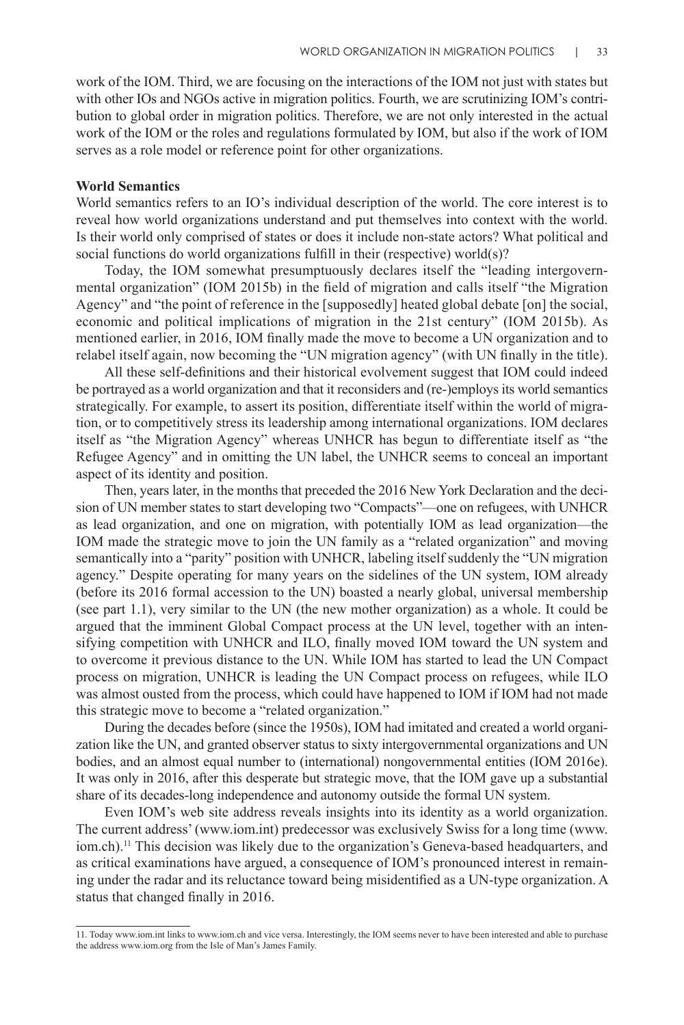work of the IOM. Third, we are focusing on the interactions of the IOM not just with states but with other IOs and NGOs active in migration politics. Fourth, we are scrutinizing IOM's contribution to global order in migration politics. Therefore, we are not only interested in the actual work of the IOM or the roles and regulations formulated by IOM, but also if the work of IOM serves as a role model or reference point for other organizations.

# **World Semantics**

World semantics refers to an IO's individual description of the world. The core interest is to reveal how world organizations understand and put themselves into context with the world. Is their world only comprised of states or does it include non-state actors? What political and social functions do world organizations fulfill in their (respective) world(s)?

Today, the IOM somewhat presumptuously declares itself the "leading intergovernmental organization" (IOM 2015b) in the field of migration and calls itself "the Migration Agency" and "the point of reference in the [supposedly] heated global debate [on] the social, economic and political implications of migration in the 21st century" (IOM 2015b). As mentioned earlier, in 2016, IOM finally made the move to become a UN organization and to relabel itself again, now becoming the "UN migration agency" (with UN finally in the title).

All these self-definitions and their historical evolvement suggest that IOM could indeed be portrayed as a world organization and that it reconsiders and (re-)employs its world semantics strategically. For example, to assert its position, differentiate itself within the world of migration, or to competitively stress its leadership among international organizations. IOM declares itself as "the Migration Agency" whereas UNHCR has begun to differentiate itself as "the Refugee Agency" and in omitting the UN label, the UNHCR seems to conceal an important aspect of its identity and position.

Then, years later, in the months that preceded the 2016 New York Declaration and the decision of UN member states to start developing two "Compacts"—one on refugees, with UNHCR as lead organization, and one on migration, with potentially IOM as lead organization—the IOM made the strategic move to join the UN family as a "related organization" and moving semantically into a "parity" position with UNHCR, labeling itself suddenly the "UN migration agency." Despite operating for many years on the sidelines of the UN system, IOM already (before its 2016 formal accession to the UN) boasted a nearly global, universal membership (see part 1.1), very similar to the UN (the new mother organization) as a whole. It could be argued that the imminent Global Compact process at the UN level, together with an intensifying competition with UNHCR and ILO, finally moved IOM toward the UN system and to overcome it previous distance to the UN. While IOM has started to lead the UN Compact process on migration, UNHCR is leading the UN Compact process on refugees, while ILO was almost ousted from the process, which could have happened to IOM if IOM had not made this strategic move to become a "related organization."

During the decades before (since the 1950s), IOM had imitated and created a world organization like the UN, and granted observer status to sixty intergovernmental organizations and UN bodies, and an almost equal number to (international) nongovernmental entities (IOM 2016e). It was only in 2016, after this desperate but strategic move, that the IOM gave up a substantial share of its decades-long independence and autonomy outside the formal UN system.

Even IOM's web site address reveals insights into its identity as a world organization. The current address' (www.iom.int) predecessor was exclusively Swiss for a long time (www. iom.ch).<sup>11</sup> This decision was likely due to the organization's Geneva-based headquarters, and as critical examinations have argued, a consequence of IOM's pronounced interest in remaining under the radar and its reluctance toward being misidentified as a UN-type organization. A status that changed finally in 2016.

<sup>11.</sup> Today www.iom.int links to www.iom.ch and vice versa. Interestingly, the IOM seems never to have been interested and able to purchase the address www.iom.org from the Isle of Man's James Family.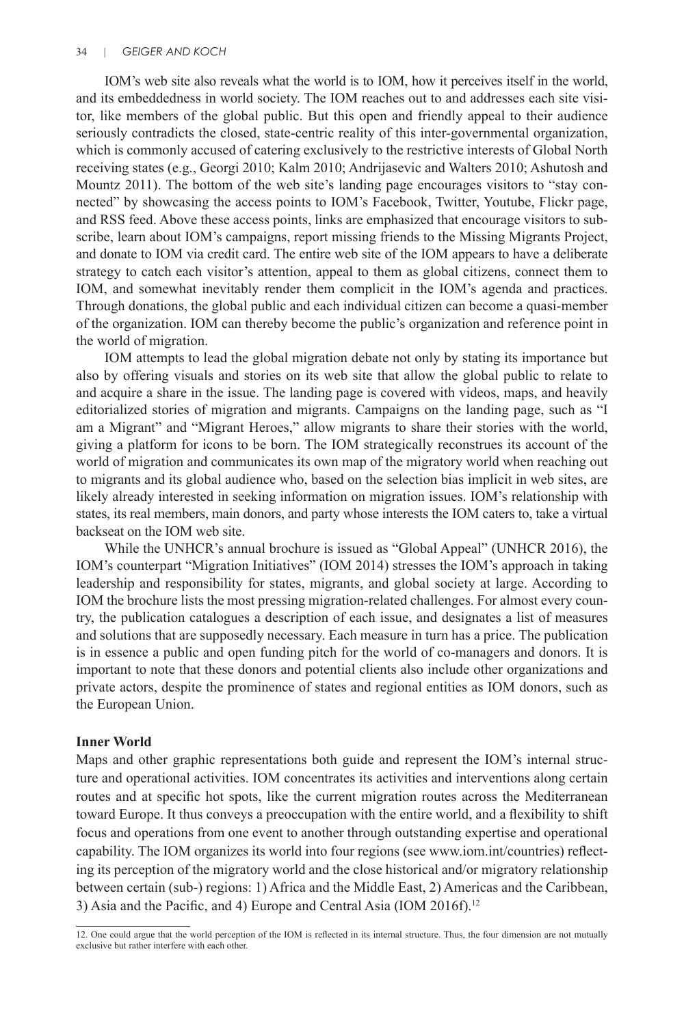IOM's web site also reveals what the world is to IOM, how it perceives itself in the world, and its embeddedness in world society. The IOM reaches out to and addresses each site visitor, like members of the global public. But this open and friendly appeal to their audience seriously contradicts the closed, state-centric reality of this inter-governmental organization, which is commonly accused of catering exclusively to the restrictive interests of Global North receiving states (e.g., Georgi 2010; Kalm 2010; Andrijasevic and Walters 2010; Ashutosh and Mountz 2011). The bottom of the web site's landing page encourages visitors to "stay connected" by showcasing the access points to IOM's Facebook, Twitter, Youtube, Flickr page, and RSS feed. Above these access points, links are emphasized that encourage visitors to subscribe, learn about IOM's campaigns, report missing friends to the Missing Migrants Project, and donate to IOM via credit card. The entire web site of the IOM appears to have a deliberate strategy to catch each visitor's attention, appeal to them as global citizens, connect them to IOM, and somewhat inevitably render them complicit in the IOM's agenda and practices. Through donations, the global public and each individual citizen can become a quasi-member of the organization. IOM can thereby become the public's organization and reference point in the world of migration.

IOM attempts to lead the global migration debate not only by stating its importance but also by offering visuals and stories on its web site that allow the global public to relate to and acquire a share in the issue. The landing page is covered with videos, maps, and heavily editorialized stories of migration and migrants. Campaigns on the landing page, such as "I am a Migrant" and "Migrant Heroes," allow migrants to share their stories with the world, giving a platform for icons to be born. The IOM strategically reconstrues its account of the world of migration and communicates its own map of the migratory world when reaching out to migrants and its global audience who, based on the selection bias implicit in web sites, are likely already interested in seeking information on migration issues. IOM's relationship with states, its real members, main donors, and party whose interests the IOM caters to, take a virtual backseat on the IOM web site.

While the UNHCR's annual brochure is issued as "Global Appeal" (UNHCR 2016), the IOM's counterpart "Migration Initiatives" (IOM 2014) stresses the IOM's approach in taking leadership and responsibility for states, migrants, and global society at large. According to IOM the brochure lists the most pressing migration-related challenges. For almost every country, the publication catalogues a description of each issue, and designates a list of measures and solutions that are supposedly necessary. Each measure in turn has a price. The publication is in essence a public and open funding pitch for the world of co-managers and donors. It is important to note that these donors and potential clients also include other organizations and private actors, despite the prominence of states and regional entities as IOM donors, such as the European Union.

#### **Inner World**

Maps and other graphic representations both guide and represent the IOM's internal structure and operational activities. IOM concentrates its activities and interventions along certain routes and at specific hot spots, like the current migration routes across the Mediterranean toward Europe. It thus conveys a preoccupation with the entire world, and a flexibility to shift focus and operations from one event to another through outstanding expertise and operational capability. The IOM organizes its world into four regions (see www.iom.int/countries) reflecting its perception of the migratory world and the close historical and/or migratory relationship between certain (sub-) regions: 1) Africa and the Middle East, 2) Americas and the Caribbean, 3) Asia and the Pacific, and 4) Europe and Central Asia (IOM 2016f).<sup>12</sup>

<sup>12.</sup> One could argue that the world perception of the IOM is reflected in its internal structure. Thus, the four dimension are not mutually exclusive but rather interfere with each other.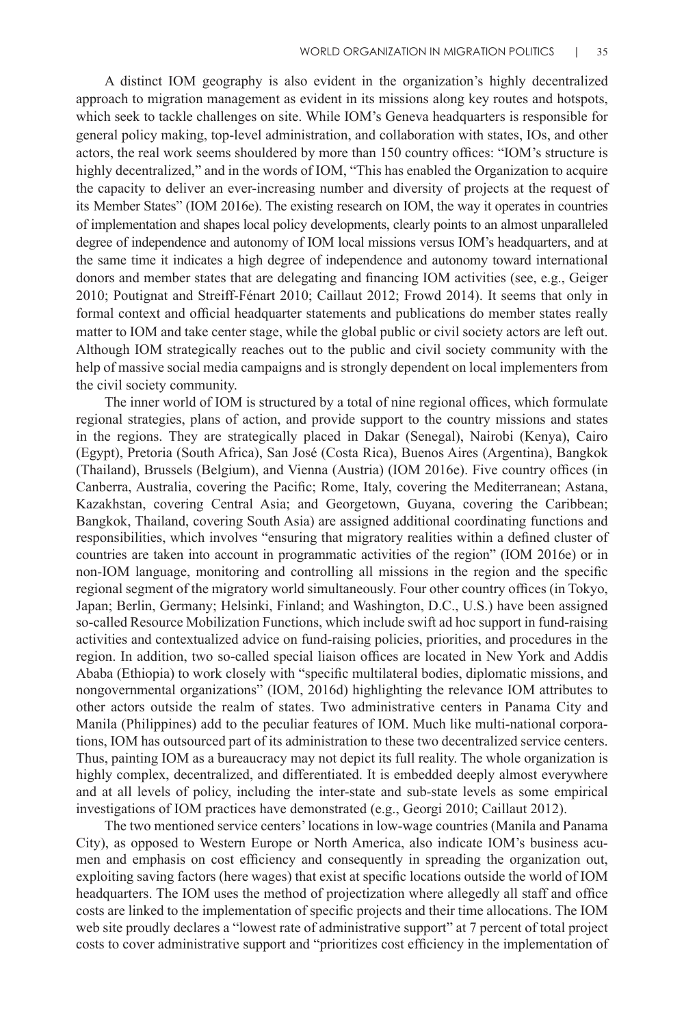A distinct IOM geography is also evident in the organization's highly decentralized approach to migration management as evident in its missions along key routes and hotspots, which seek to tackle challenges on site. While IOM's Geneva headquarters is responsible for general policy making, top-level administration, and collaboration with states, IOs, and other actors, the real work seems shouldered by more than 150 country offices: "IOM's structure is highly decentralized," and in the words of IOM, "This has enabled the Organization to acquire the capacity to deliver an ever-increasing number and diversity of projects at the request of its Member States" (IOM 2016e). The existing research on IOM, the way it operates in countries of implementation and shapes local policy developments, clearly points to an almost unparalleled degree of independence and autonomy of IOM local missions versus IOM's headquarters, and at the same time it indicates a high degree of independence and autonomy toward international donors and member states that are delegating and financing IOM activities (see, e.g., Geiger 2010; Poutignat and Streiff-Fénart 2010; Caillaut 2012; Frowd 2014). It seems that only in formal context and official headquarter statements and publications do member states really matter to IOM and take center stage, while the global public or civil society actors are left out. Although IOM strategically reaches out to the public and civil society community with the help of massive social media campaigns and is strongly dependent on local implementers from the civil society community.

The inner world of IOM is structured by a total of nine regional offices, which formulate regional strategies, plans of action, and provide support to the country missions and states in the regions. They are strategically placed in Dakar (Senegal), Nairobi (Kenya), Cairo (Egypt), Pretoria (South Africa), San José (Costa Rica), Buenos Aires (Argentina), Bangkok (Thailand), Brussels (Belgium), and Vienna (Austria) (IOM 2016e). Five country offices (in Canberra, Australia, covering the Pacific; Rome, Italy, covering the Mediterranean; Astana, Kazakhstan, covering Central Asia; and Georgetown, Guyana, covering the Caribbean; Bangkok, Thailand, covering South Asia) are assigned additional coordinating functions and responsibilities, which involves "ensuring that migratory realities within a defined cluster of countries are taken into account in programmatic activities of the region" (IOM 2016e) or in non-IOM language, monitoring and controlling all missions in the region and the specific regional segment of the migratory world simultaneously. Four other country offices (in Tokyo, Japan; Berlin, Germany; Helsinki, Finland; and Washington, D.C., U.S.) have been assigned so-called Resource Mobilization Functions, which include swift ad hoc support in fund-raising activities and contextualized advice on fund-raising policies, priorities, and procedures in the region. In addition, two so-called special liaison offices are located in New York and Addis Ababa (Ethiopia) to work closely with "specific multilateral bodies, diplomatic missions, and nongovernmental organizations" (IOM, 2016d) highlighting the relevance IOM attributes to other actors outside the realm of states. Two administrative centers in Panama City and Manila (Philippines) add to the peculiar features of IOM. Much like multi-national corporations, IOM has outsourced part of its administration to these two decentralized service centers. Thus, painting IOM as a bureaucracy may not depict its full reality. The whole organization is highly complex, decentralized, and differentiated. It is embedded deeply almost everywhere and at all levels of policy, including the inter-state and sub-state levels as some empirical investigations of IOM practices have demonstrated (e.g., Georgi 2010; Caillaut 2012).

The two mentioned service centers' locations in low-wage countries (Manila and Panama City), as opposed to Western Europe or North America, also indicate IOM's business acumen and emphasis on cost efficiency and consequently in spreading the organization out, exploiting saving factors (here wages) that exist at specific locations outside the world of IOM headquarters. The IOM uses the method of projectization where allegedly all staff and office costs are linked to the implementation of specific projects and their time allocations. The IOM web site proudly declares a "lowest rate of administrative support" at 7 percent of total project costs to cover administrative support and "prioritizes cost efficiency in the implementation of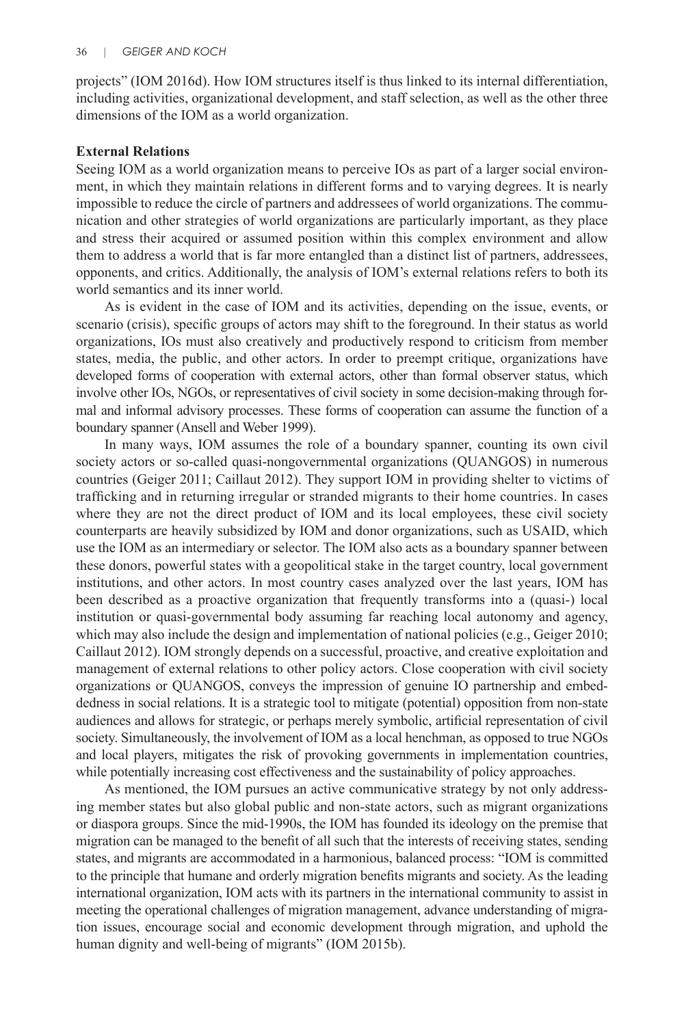projects" (IOM 2016d). How IOM structures itself is thus linked to its internal differentiation, including activities, organizational development, and staff selection, as well as the other three dimensions of the IOM as a world organization.

## **External Relations**

Seeing IOM as a world organization means to perceive IOs as part of a larger social environment, in which they maintain relations in different forms and to varying degrees. It is nearly impossible to reduce the circle of partners and addressees of world organizations. The communication and other strategies of world organizations are particularly important, as they place and stress their acquired or assumed position within this complex environment and allow them to address a world that is far more entangled than a distinct list of partners, addressees, opponents, and critics. Additionally, the analysis of IOM's external relations refers to both its world semantics and its inner world.

As is evident in the case of IOM and its activities, depending on the issue, events, or scenario (crisis), specific groups of actors may shift to the foreground. In their status as world organizations, IOs must also creatively and productively respond to criticism from member states, media, the public, and other actors. In order to preempt critique, organizations have developed forms of cooperation with external actors, other than formal observer status, which involve other IOs, NGOs, or representatives of civil society in some decision-making through formal and informal advisory processes. These forms of cooperation can assume the function of a boundary spanner (Ansell and Weber 1999).

In many ways, IOM assumes the role of a boundary spanner, counting its own civil society actors or so-called quasi-nongovernmental organizations (QUANGOS) in numerous countries (Geiger 2011; Caillaut 2012). They support IOM in providing shelter to victims of trafficking and in returning irregular or stranded migrants to their home countries. In cases where they are not the direct product of IOM and its local employees, these civil society counterparts are heavily subsidized by IOM and donor organizations, such as USAID, which use the IOM as an intermediary or selector. The IOM also acts as a boundary spanner between these donors, powerful states with a geopolitical stake in the target country, local government institutions, and other actors. In most country cases analyzed over the last years, IOM has been described as a proactive organization that frequently transforms into a (quasi-) local institution or quasi-governmental body assuming far reaching local autonomy and agency, which may also include the design and implementation of national policies (e.g., Geiger 2010; Caillaut 2012). IOM strongly depends on a successful, proactive, and creative exploitation and management of external relations to other policy actors. Close cooperation with civil society organizations or QUANGOS, conveys the impression of genuine IO partnership and embeddedness in social relations. It is a strategic tool to mitigate (potential) opposition from non-state audiences and allows for strategic, or perhaps merely symbolic, artificial representation of civil society. Simultaneously, the involvement of IOM as a local henchman, as opposed to true NGOs and local players, mitigates the risk of provoking governments in implementation countries, while potentially increasing cost effectiveness and the sustainability of policy approaches.

As mentioned, the IOM pursues an active communicative strategy by not only addressing member states but also global public and non-state actors, such as migrant organizations or diaspora groups. Since the mid-1990s, the IOM has founded its ideology on the premise that migration can be managed to the benefit of all such that the interests of receiving states, sending states, and migrants are accommodated in a harmonious, balanced process: "IOM is committed to the principle that humane and orderly migration benefits migrants and society. As the leading international organization, IOM acts with its partners in the international community to assist in meeting the operational challenges of migration management, advance understanding of migration issues, encourage social and economic development through migration, and uphold the human dignity and well-being of migrants" (IOM 2015b).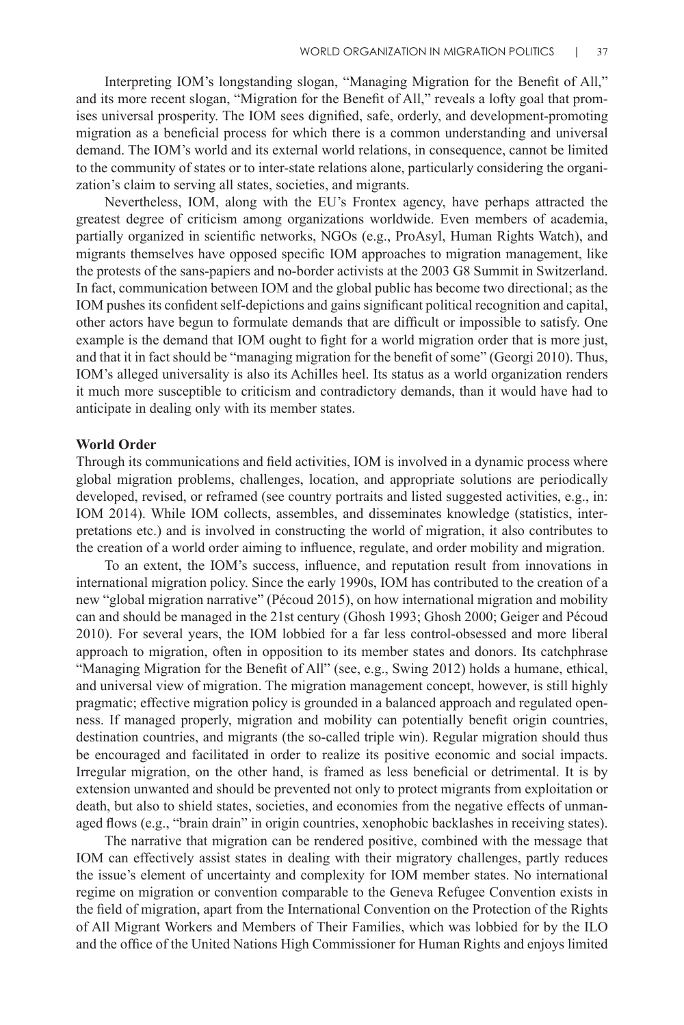Interpreting IOM's longstanding slogan, "Managing Migration for the Benefit of All," and its more recent slogan, "Migration for the Benefit of All," reveals a lofty goal that promises universal prosperity. The IOM sees dignified, safe, orderly, and development-promoting migration as a beneficial process for which there is a common understanding and universal demand. The IOM's world and its external world relations, in consequence, cannot be limited to the community of states or to inter-state relations alone, particularly considering the organization's claim to serving all states, societies, and migrants.

Nevertheless, IOM, along with the EU's Frontex agency, have perhaps attracted the greatest degree of criticism among organizations worldwide. Even members of academia, partially organized in scientific networks, NGOs (e.g., ProAsyl, Human Rights Watch), and migrants themselves have opposed specific IOM approaches to migration management, like the protests of the sans-papiers and no-border activists at the 2003 G8 Summit in Switzerland. In fact, communication between IOM and the global public has become two directional; as the IOM pushes its confident self-depictions and gains significant political recognition and capital, other actors have begun to formulate demands that are difficult or impossible to satisfy. One example is the demand that IOM ought to fight for a world migration order that is more just, and that it in fact should be "managing migration for the benefit of some" (Georgi 2010). Thus, IOM's alleged universality is also its Achilles heel. Its status as a world organization renders it much more susceptible to criticism and contradictory demands, than it would have had to anticipate in dealing only with its member states.

#### **World Order**

Through its communications and field activities, IOM is involved in a dynamic process where global migration problems, challenges, location, and appropriate solutions are periodically developed, revised, or reframed (see country portraits and listed suggested activities, e.g., in: IOM 2014). While IOM collects, assembles, and disseminates knowledge (statistics, interpretations etc.) and is involved in constructing the world of migration, it also contributes to the creation of a world order aiming to influence, regulate, and order mobility and migration.

To an extent, the IOM's success, influence, and reputation result from innovations in international migration policy. Since the early 1990s, IOM has contributed to the creation of a new "global migration narrative" (Pécoud 2015), on how international migration and mobility can and should be managed in the 21st century (Ghosh 1993; Ghosh 2000; Geiger and Pécoud 2010). For several years, the IOM lobbied for a far less control-obsessed and more liberal approach to migration, often in opposition to its member states and donors. Its catchphrase "Managing Migration for the Benefit of All" (see, e.g., Swing 2012) holds a humane, ethical, and universal view of migration. The migration management concept, however, is still highly pragmatic; effective migration policy is grounded in a balanced approach and regulated openness. If managed properly, migration and mobility can potentially benefit origin countries, destination countries, and migrants (the so-called triple win). Regular migration should thus be encouraged and facilitated in order to realize its positive economic and social impacts. Irregular migration, on the other hand, is framed as less beneficial or detrimental. It is by extension unwanted and should be prevented not only to protect migrants from exploitation or death, but also to shield states, societies, and economies from the negative effects of unmanaged flows (e.g., "brain drain" in origin countries, xenophobic backlashes in receiving states).

The narrative that migration can be rendered positive, combined with the message that IOM can effectively assist states in dealing with their migratory challenges, partly reduces the issue's element of uncertainty and complexity for IOM member states. No international regime on migration or convention comparable to the Geneva Refugee Convention exists in the field of migration, apart from the International Convention on the Protection of the Rights of All Migrant Workers and Members of Their Families, which was lobbied for by the ILO and the office of the United Nations High Commissioner for Human Rights and enjoys limited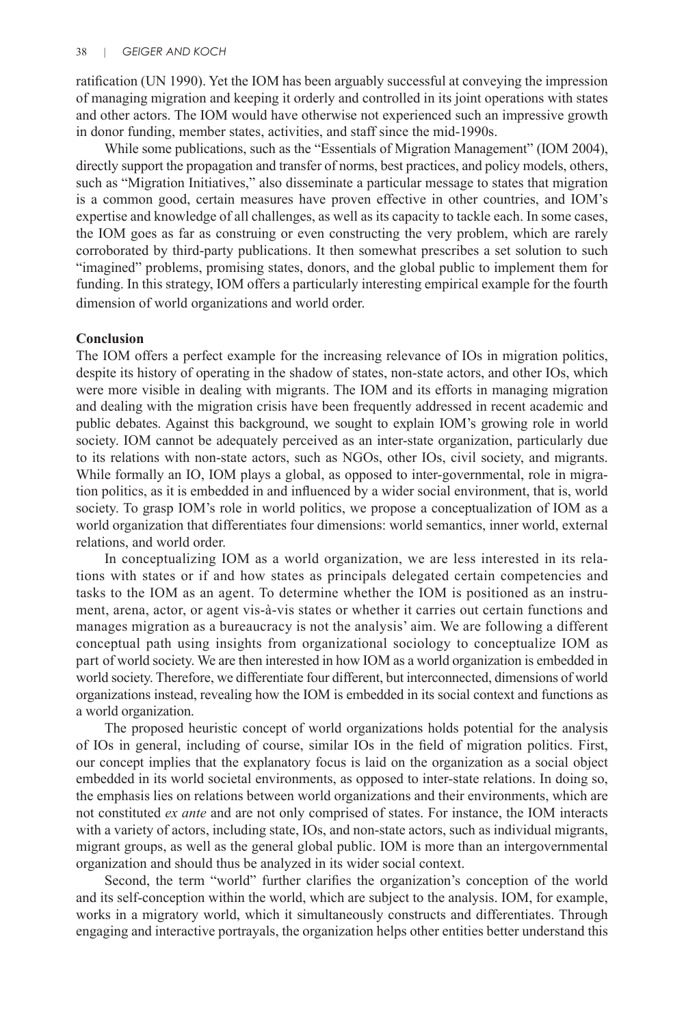ratification (UN 1990). Yet the IOM has been arguably successful at conveying the impression of managing migration and keeping it orderly and controlled in its joint operations with states and other actors. The IOM would have otherwise not experienced such an impressive growth in donor funding, member states, activities, and staff since the mid-1990s.

While some publications, such as the "Essentials of Migration Management" (IOM 2004), directly support the propagation and transfer of norms, best practices, and policy models, others, such as "Migration Initiatives," also disseminate a particular message to states that migration is a common good, certain measures have proven effective in other countries, and IOM's expertise and knowledge of all challenges, as well as its capacity to tackle each. In some cases, the IOM goes as far as construing or even constructing the very problem, which are rarely corroborated by third-party publications. It then somewhat prescribes a set solution to such "imagined" problems, promising states, donors, and the global public to implement them for funding. In this strategy, IOM offers a particularly interesting empirical example for the fourth dimension of world organizations and world order.

## **Conclusion**

The IOM offers a perfect example for the increasing relevance of IOs in migration politics, despite its history of operating in the shadow of states, non-state actors, and other IOs, which were more visible in dealing with migrants. The IOM and its efforts in managing migration and dealing with the migration crisis have been frequently addressed in recent academic and public debates. Against this background, we sought to explain IOM's growing role in world society. IOM cannot be adequately perceived as an inter-state organization, particularly due to its relations with non-state actors, such as NGOs, other IOs, civil society, and migrants. While formally an IO, IOM plays a global, as opposed to inter-governmental, role in migration politics, as it is embedded in and influenced by a wider social environment, that is, world society. To grasp IOM's role in world politics, we propose a conceptualization of IOM as a world organization that differentiates four dimensions: world semantics, inner world, external relations, and world order.

In conceptualizing IOM as a world organization, we are less interested in its relations with states or if and how states as principals delegated certain competencies and tasks to the IOM as an agent. To determine whether the IOM is positioned as an instrument, arena, actor, or agent vis-à-vis states or whether it carries out certain functions and manages migration as a bureaucracy is not the analysis' aim. We are following a different conceptual path using insights from organizational sociology to conceptualize IOM as part of world society. We are then interested in how IOM as a world organization is embedded in world society. Therefore, we differentiate four different, but interconnected, dimensions of world organizations instead, revealing how the IOM is embedded in its social context and functions as a world organization.

The proposed heuristic concept of world organizations holds potential for the analysis of IOs in general, including of course, similar IOs in the field of migration politics. First, our concept implies that the explanatory focus is laid on the organization as a social object embedded in its world societal environments, as opposed to inter-state relations. In doing so, the emphasis lies on relations between world organizations and their environments, which are not constituted *ex ante* and are not only comprised of states. For instance, the IOM interacts with a variety of actors, including state, IOs, and non-state actors, such as individual migrants, migrant groups, as well as the general global public. IOM is more than an intergovernmental organization and should thus be analyzed in its wider social context.

Second, the term "world" further clarifies the organization's conception of the world and its self-conception within the world, which are subject to the analysis. IOM, for example, works in a migratory world, which it simultaneously constructs and differentiates. Through engaging and interactive portrayals, the organization helps other entities better understand this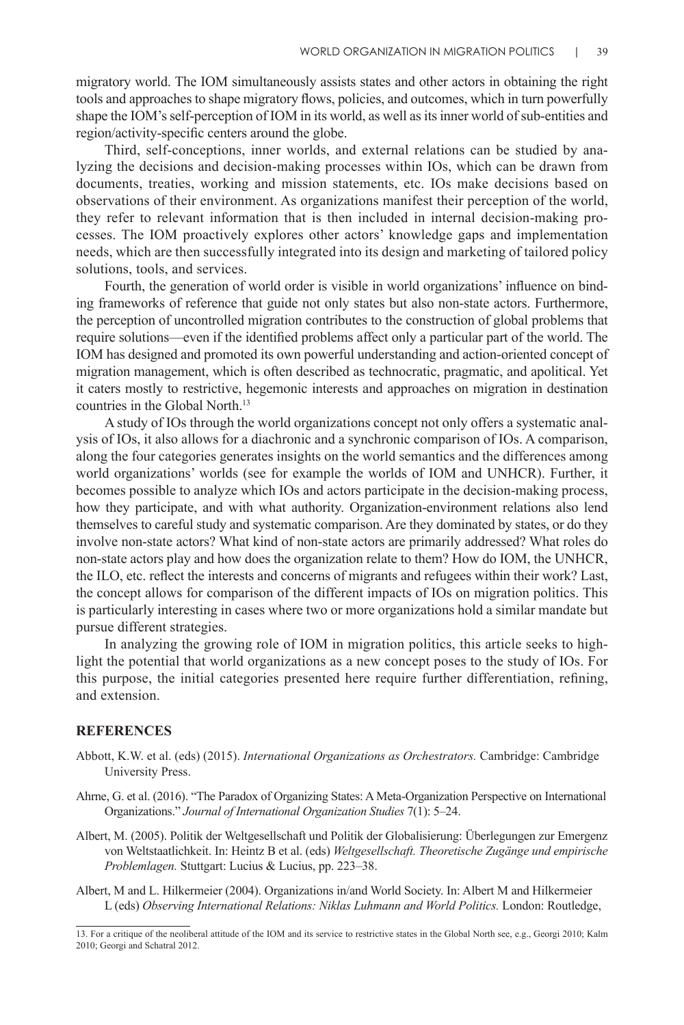migratory world. The IOM simultaneously assists states and other actors in obtaining the right tools and approaches to shape migratory flows, policies, and outcomes, which in turn powerfully shape the IOM's self-perception of IOM in its world, as well as its inner world of sub-entities and region/activity-specific centers around the globe.

Third, self-conceptions, inner worlds, and external relations can be studied by analyzing the decisions and decision-making processes within IOs, which can be drawn from documents, treaties, working and mission statements, etc. IOs make decisions based on observations of their environment. As organizations manifest their perception of the world, they refer to relevant information that is then included in internal decision-making processes. The IOM proactively explores other actors' knowledge gaps and implementation needs, which are then successfully integrated into its design and marketing of tailored policy solutions, tools, and services.

Fourth, the generation of world order is visible in world organizations' influence on binding frameworks of reference that guide not only states but also non-state actors. Furthermore, the perception of uncontrolled migration contributes to the construction of global problems that require solutions—even if the identified problems affect only a particular part of the world. The IOM has designed and promoted its own powerful understanding and action-oriented concept of migration management, which is often described as technocratic, pragmatic, and apolitical. Yet it caters mostly to restrictive, hegemonic interests and approaches on migration in destination countries in the Global North.<sup>13</sup>

A study of IOs through the world organizations concept not only offers a systematic analysis of IOs, it also allows for a diachronic and a synchronic comparison of IOs. A comparison, along the four categories generates insights on the world semantics and the differences among world organizations' worlds (see for example the worlds of IOM and UNHCR). Further, it becomes possible to analyze which IOs and actors participate in the decision-making process, how they participate, and with what authority. Organization-environment relations also lend themselves to careful study and systematic comparison. Are they dominated by states, or do they involve non-state actors? What kind of non-state actors are primarily addressed? What roles do non-state actors play and how does the organization relate to them? How do IOM, the UNHCR, the ILO, etc. reflect the interests and concerns of migrants and refugees within their work? Last, the concept allows for comparison of the different impacts of IOs on migration politics. This is particularly interesting in cases where two or more organizations hold a similar mandate but pursue different strategies.

In analyzing the growing role of IOM in migration politics, this article seeks to highlight the potential that world organizations as a new concept poses to the study of IOs. For this purpose, the initial categories presented here require further differentiation, refining, and extension.

## **REFERENCES**

- Abbott, K.W. et al. (eds) (2015). *International Organizations as Orchestrators.* Cambridge: Cambridge University Press.
- Ahrne, G. et al. (2016). "The Paradox of Organizing States: A Meta-Organization Perspective on International Organizations." *Journal of International Organization Studies* 7(1): 5–24.
- Albert, M. (2005). Politik der Weltgesellschaft und Politik der Globalisierung: Überlegungen zur Emergenz von Weltstaatlichkeit. In: Heintz B et al. (eds) *Weltgesellschaft. Theoretische Zugänge und empirische Problemlagen.* Stuttgart: Lucius & Lucius, pp. 223–38.
- Albert, M and L. Hilkermeier (2004). Organizations in/and World Society. In: Albert M and Hilkermeier L (eds) *Observing International Relations: Niklas Luhmann and World Politics.* London: Routledge,

<sup>13.</sup> For a critique of the neoliberal attitude of the IOM and its service to restrictive states in the Global North see, e.g., Georgi 2010; Kalm 2010; Georgi and Schatral 2012.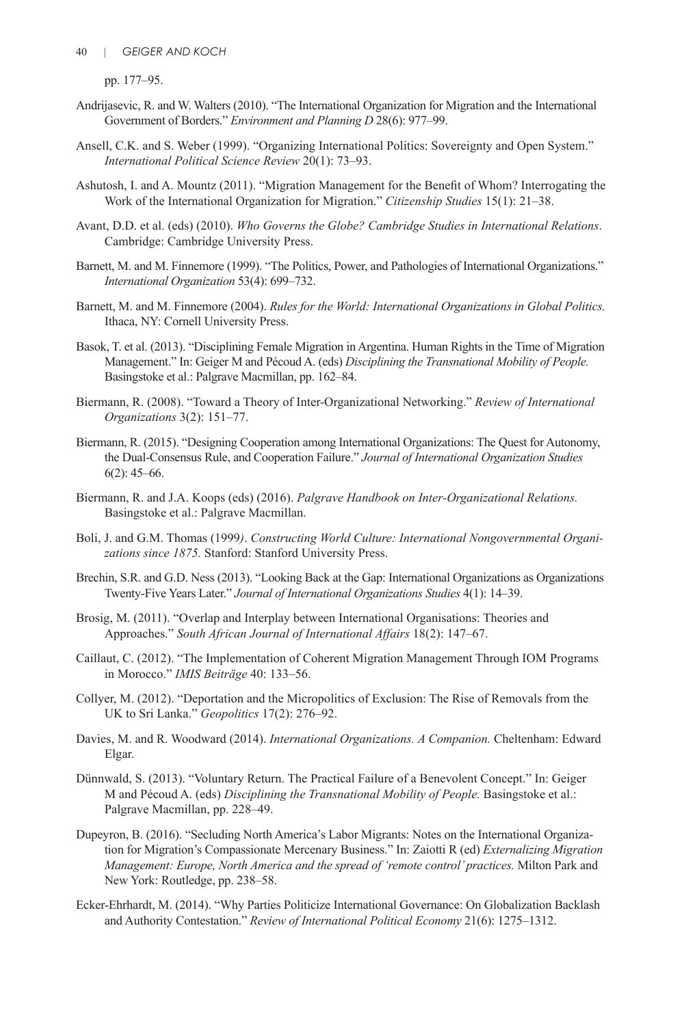pp. 177–95.

- Andrijasevic, R. and W. Walters (2010). "The International Organization for Migration and the International Government of Borders." *Environment and Planning D* 28(6): 977–99.
- Ansell, C.K. and S. Weber (1999). "Organizing International Politics: Sovereignty and Open System." *International Political Science Review* 20(1): 73–93.
- Ashutosh, I. and A. Mountz (2011). "Migration Management for the Benefit of Whom? Interrogating the Work of the International Organization for Migration." *Citizenship Studies* 15(1): 21–38.
- Avant, D.D. et al. (eds) (2010). *Who Governs the Globe? Cambridge Studies in International Relations*. Cambridge: Cambridge University Press.
- Barnett, M. and M. Finnemore (1999). "The Politics, Power, and Pathologies of International Organizations." *International Organization* 53(4): 699–732.
- Barnett, M. and M. Finnemore (2004). *Rules for the World: International Organizations in Global Politics.*  Ithaca, NY: Cornell University Press.
- Basok, T. et al. (2013). "Disciplining Female Migration in Argentina. Human Rights in the Time of Migration Management." In: Geiger M and Pécoud A. (eds) *Disciplining the Transnational Mobility of People.* Basingstoke et al.: Palgrave Macmillan, pp. 162–84.
- Biermann, R. (2008). "Toward a Theory of Inter-Organizational Networking." *Review of International Organizations* 3(2): 151–77.
- Biermann, R. (2015). "Designing Cooperation among International Organizations: The Quest for Autonomy, the Dual-Consensus Rule, and Cooperation Failure." *Journal of International Organization Studies* 6(2): 45–66.
- Biermann, R. and J.A. Koops (eds) (2016). *Palgrave Handbook on Inter-Organizational Relations.* Basingstoke et al.: Palgrave Macmillan.
- Boli, J. and G.M. Thomas (1999*)*. *Constructing World Culture: International Nongovernmental Organizations since 1875.* Stanford: Stanford University Press.
- Brechin, S.R. and G.D. Ness (2013). "Looking Back at the Gap: International Organizations as Organizations Twenty-Five Years Later." *Journal of International Organizations Studies* 4(1): 14–39.
- Brosig, M. (2011). "Overlap and Interplay between International Organisations: Theories and Approaches." *South African Journal of International Affairs* 18(2): 147–67.
- Caillaut, C. (2012). "The Implementation of Coherent Migration Management Through IOM Programs in Morocco." *IMIS Beiträge* 40: 133–56.
- Collyer, M. (2012). "Deportation and the Micropolitics of Exclusion: The Rise of Removals from the UK to Sri Lanka." *Geopolitics* 17(2): 276–92.
- Davies, M. and R. Woodward (2014). *International Organizations. A Companion.* Cheltenham: Edward Elgar.
- Dünnwald, S. (2013). "Voluntary Return. The Practical Failure of a Benevolent Concept." In: Geiger M and Pécoud A. (eds) *Disciplining the Transnational Mobility of People.* Basingstoke et al.: Palgrave Macmillan, pp. 228–49.
- Dupeyron, B. (2016). "Secluding North America's Labor Migrants: Notes on the International Organization for Migration's Compassionate Mercenary Business." In: Zaiotti R (ed) *Externalizing Migration Management: Europe, North America and the spread of 'remote control' practices.* Milton Park and New York: Routledge, pp. 238–58.
- Ecker-Ehrhardt, M. (2014). "Why Parties Politicize International Governance: On Globalization Backlash and Authority Contestation." *Review of International Political Economy* 21(6): 1275–1312.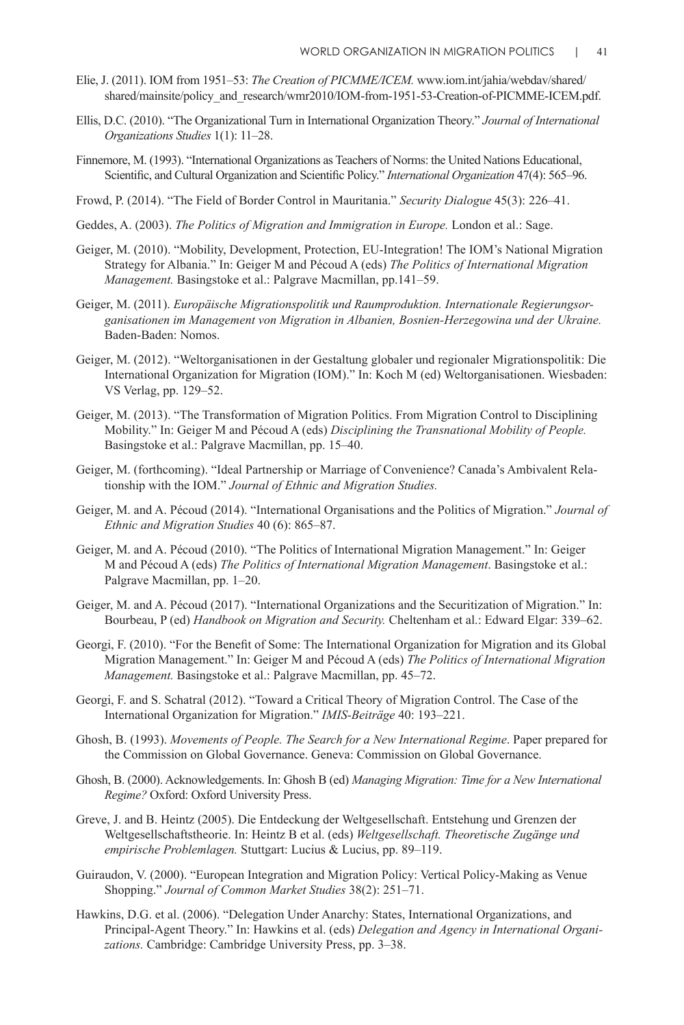- Elie, J. (2011). IOM from 1951–53: *The Creation of PICMME/ICEM.* www.iom.int/jahia/webdav/shared/ shared/mainsite/policy\_and\_research/wmr2010/IOM-from-1951-53-Creation-of-PICMME-ICEM.pdf.
- Ellis, D.C. (2010). "The Organizational Turn in International Organization Theory." *Journal of International Organizations Studies* 1(1): 11–28.
- Finnemore, M. (1993). "International Organizations as Teachers of Norms: the United Nations Educational, Scientific, and Cultural Organization and Scientific Policy." *International Organization* 47(4): 565–96.
- Frowd, P. (2014). "The Field of Border Control in Mauritania." *Security Dialogue* 45(3): 226–41.
- Geddes, A. (2003). *The Politics of Migration and Immigration in Europe.* London et al.: Sage.
- Geiger, M. (2010). "Mobility, Development, Protection, EU-Integration! The IOM's National Migration Strategy for Albania." In: Geiger M and Pécoud A (eds) *The Politics of International Migration Management.* Basingstoke et al.: Palgrave Macmillan, pp.141–59.
- Geiger, M. (2011). *Europäische Migrationspolitik und Raumproduktion. Internationale Regierungsor*ganisationen im Management von Migration in Albanien, Bosnien-Herzegowina und der Ukraine. Baden-Baden: Nomos.
- Geiger, M. (2012). "Weltorganisationen in der Gestaltung globaler und regionaler Migrationspolitik: Die International Organization for Migration (IOM)." In: Koch M (ed) Weltorganisationen. Wiesbaden: VS Verlag, pp. 129–52.
- Geiger, M. (2013). "The Transformation of Migration Politics. From Migration Control to Disciplining Mobility." In: Geiger M and Pécoud A (eds) *Disciplining the Transnational Mobility of People.* Basingstoke et al.: Palgrave Macmillan, pp. 15–40.
- Geiger, M. (forthcoming). "Ideal Partnership or Marriage of Convenience? Canada's Ambivalent Relationship with the IOM." *Journal of Ethnic and Migration Studies.*
- Geiger, M. and A. Pécoud (2014). "International Organisations and the Politics of Migration." *Journal of Ethnic and Migration Studies* 40 (6): 865–87.
- Geiger, M. and A. Pécoud (2010). "The Politics of International Migration Management." In: Geiger M and Pécoud A (eds) *The Politics of International Migration Management*. Basingstoke et al.: Palgrave Macmillan, pp. 1–20.
- Geiger, M. and A. Pécoud (2017). "International Organizations and the Securitization of Migration." In: Bourbeau, P (ed) *Handbook on Migration and Security.* Cheltenham et al.: Edward Elgar: 339–62.
- Georgi, F. (2010). "For the Benefit of Some: The International Organization for Migration and its Global Migration Management." In: Geiger M and Pécoud A (eds) *The Politics of International Migration Management.* Basingstoke et al.: Palgrave Macmillan, pp. 45–72.
- Georgi, F. and S. Schatral (2012). "Toward a Critical Theory of Migration Control. The Case of the International Organization for Migration." *IMIS-Beiträge* 40: 193–221.
- Ghosh, B. (1993). *Movements of People. The Search for a New International Regime*. Paper prepared for the Commission on Global Governance. Geneva: Commission on Global Governance.
- Ghosh, B. (2000). Acknowledgements. In: Ghosh B (ed) *Managing Migration: Time for a New International Regime?* Oxford: Oxford University Press.
- Greve, J. and B. Heintz (2005). Die Entdeckung der Weltgesellschaft. Entstehung und Grenzen der Weltgesellschaftstheorie. In: Heintz B et al. (eds) *Weltgesellschaft. Theoretische Zugänge und empirische Problemlagen.* Stuttgart: Lucius & Lucius, pp. 89–119.
- Guiraudon, V. (2000). "European Integration and Migration Policy: Vertical Policy-Making as Venue Shopping." *Journal of Common Market Studies* 38(2): 251–71.
- Hawkins, D.G. et al. (2006). "Delegation Under Anarchy: States, International Organizations, and Principal-Agent Theory." In: Hawkins et al. (eds) *Delegation and Agency in International Organizations.* Cambridge: Cambridge University Press, pp. 3–38.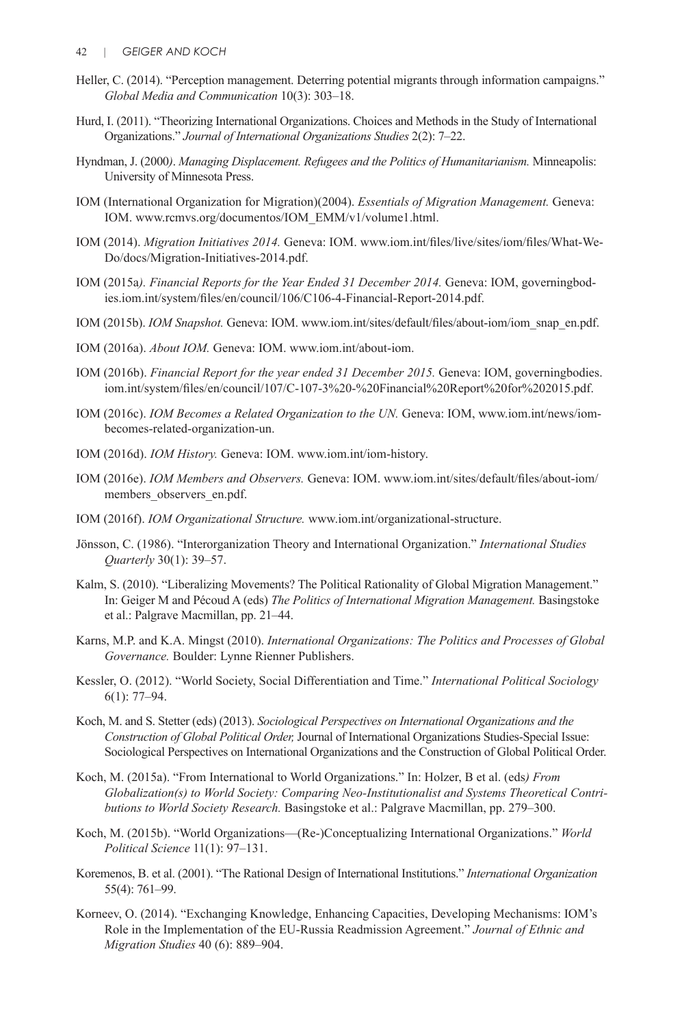- Heller, C. (2014). "Perception management. Deterring potential migrants through information campaigns." *Global Media and Communication* 10(3): 303–18.
- Hurd, I. (2011). "Theorizing International Organizations. Choices and Methods in the Study of International Organizations." *Journal of International Organizations Studies* 2(2): 7–22.
- Hyndman, J. (2000*)*. *Managing Displacement. Refugees and the Politics of Humanitarianism.* Minneapolis: University of Minnesota Press.
- IOM (International Organization for Migration)(2004). *Essentials of Migration Management.* Geneva: IOM. www.rcmvs.org/documentos/IOM\_EMM/v1/volume1.html.
- IOM (2014). *Migration Initiatives 2014.* Geneva: IOM. www.iom.int/files/live/sites/iom/files/What-We-Do/docs/Migration-Initiatives-2014.pdf.
- IOM (2015a*). Financial Reports for the Year Ended 31 December 2014.* Geneva: IOM, governingbodies.iom.int/system/files/en/council/106/C106-4-Financial-Report-2014.pdf.
- IOM (2015b). *IOM Snapshot.* Geneva: IOM. www.iom.int/sites/default/files/about-iom/iom\_snap\_en.pdf.
- IOM (2016a). *About IOM.* Geneva: IOM. www.iom.int/about-iom.
- IOM (2016b). *Financial Report for the year ended 31 December 2015.* Geneva: IOM, governingbodies. iom.int/system/files/en/council/107/C-107-3%20-%20Financial%20Report%20for%202015.pdf.
- IOM (2016c). *IOM Becomes a Related Organization to the UN.* Geneva: IOM, www.iom.int/news/iombecomes-related-organization-un.
- IOM (2016d). *IOM History.* Geneva: IOM. www.iom.int/iom-history.
- IOM (2016e). *IOM Members and Observers.* Geneva: IOM. www.iom.int/sites/default/files/about-iom/ members observers en.pdf.
- IOM (2016f). *IOM Organizational Structure.* www.iom.int/organizational-structure.
- Jönsson, C. (1986). "Interorganization Theory and International Organization." *International Studies Quarterly* 30(1): 39–57.
- Kalm, S. (2010). "Liberalizing Movements? The Political Rationality of Global Migration Management." In: Geiger M and Pécoud A (eds) *The Politics of International Migration Management.* Basingstoke et al.: Palgrave Macmillan, pp. 21–44.
- Karns, M.P. and K.A. Mingst (2010). *International Organizations: The Politics and Processes of Global Governance.* Boulder: Lynne Rienner Publishers.
- Kessler, O. (2012). "World Society, Social Differentiation and Time." *International Political Sociology* 6(1): 77–94.
- Koch, M. and S. Stetter (eds) (2013). *Sociological Perspectives on International Organizations and the Construction of Global Political Order,* Journal of International Organizations Studies-Special Issue: Sociological Perspectives on International Organizations and the Construction of Global Political Order.
- Koch, M. (2015a). "From International to World Organizations." In: Holzer, B et al. (eds*) From Globalization(s) to World Society: Comparing Neo-Institutionalist and Systems Theoretical Contributions to World Society Research.* Basingstoke et al.: Palgrave Macmillan, pp. 279–300.
- Koch, M. (2015b). "World Organizations—(Re-)Conceptualizing International Organizations." *World Political Science* 11(1): 97–131.
- Koremenos, B. et al. (2001). "The Rational Design of International Institutions." *International Organization* 55(4): 761–99.
- Korneev, O. (2014). "Exchanging Knowledge, Enhancing Capacities, Developing Mechanisms: IOM's Role in the Implementation of the EU-Russia Readmission Agreement." *Journal of Ethnic and Migration Studies* 40 (6): 889–904.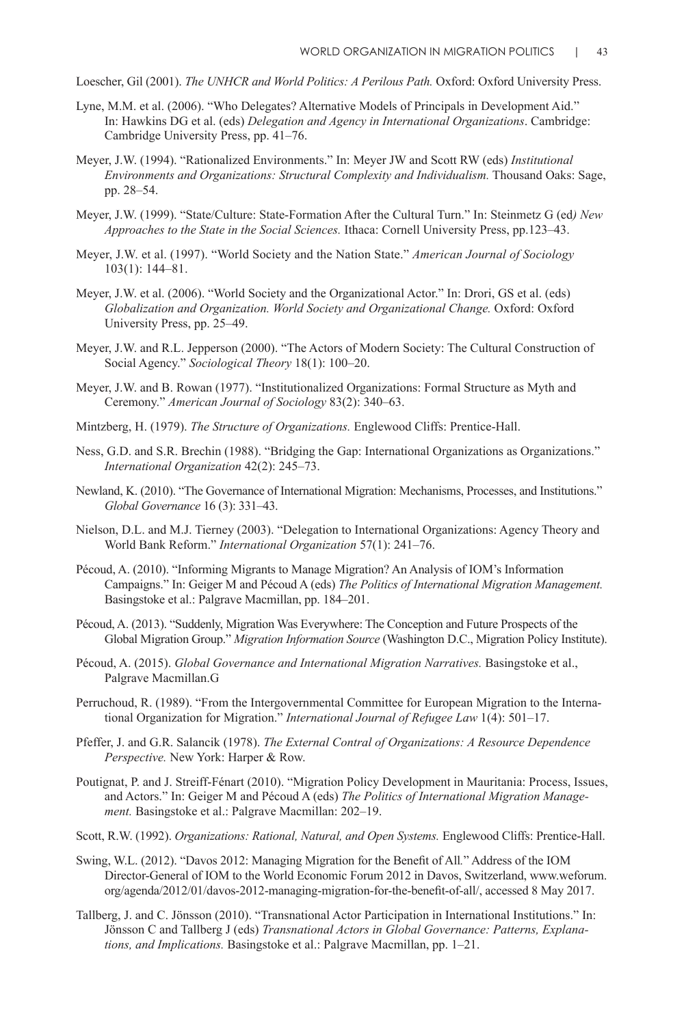Loescher, Gil (2001). *The UNHCR and World Politics: A Perilous Path.* Oxford: Oxford University Press.

- Lyne, M.M. et al. (2006). "Who Delegates? Alternative Models of Principals in Development Aid." In: Hawkins DG et al. (eds) *Delegation and Agency in International Organizations*. Cambridge: Cambridge University Press, pp. 41–76.
- Meyer, J.W. (1994). "Rationalized Environments." In: Meyer JW and Scott RW (eds) *Institutional Environments and Organizations: Structural Complexity and Individualism.* Thousand Oaks: Sage, pp. 28–54.
- Meyer, J.W. (1999). "State/Culture: State-Formation After the Cultural Turn." In: Steinmetz G (ed*) New Approaches to the State in the Social Sciences.* Ithaca: Cornell University Press, pp.123–43.
- Meyer, J.W. et al. (1997). "World Society and the Nation State." *American Journal of Sociology* 103(1): 144–81.
- Meyer, J.W. et al. (2006). "World Society and the Organizational Actor." In: Drori, GS et al. (eds) *Globalization and Organization. World Society and Organizational Change.* Oxford: Oxford University Press, pp. 25–49.
- Meyer, J.W. and R.L. Jepperson (2000). "The Actors of Modern Society: The Cultural Construction of Social Agency." *Sociological Theory* 18(1): 100–20.
- Meyer, J.W. and B. Rowan (1977). "Institutionalized Organizations: Formal Structure as Myth and Ceremony." *American Journal of Sociology* 83(2): 340–63.
- Mintzberg, H. (1979). *The Structure of Organizations.* Englewood Cliffs: Prentice-Hall.
- Ness, G.D. and S.R. Brechin (1988). "Bridging the Gap: International Organizations as Organizations." *International Organization* 42(2): 245–73.
- Newland, K. (2010). "The Governance of International Migration: Mechanisms, Processes, and Institutions." *Global Governance* 16 (3): 331–43.
- Nielson, D.L. and M.J. Tierney (2003). "Delegation to International Organizations: Agency Theory and World Bank Reform." *International Organization* 57(1): 241–76.
- Pécoud, A. (2010). "Informing Migrants to Manage Migration? An Analysis of IOM's Information Campaigns." In: Geiger M and Pécoud A (eds) *The Politics of International Migration Management.*  Basingstoke et al.: Palgrave Macmillan, pp. 184–201.
- Pécoud, A. (2013). "Suddenly, Migration Was Everywhere: The Conception and Future Prospects of the Global Migration Group." *Migration Information Source* (Washington D.C., Migration Policy Institute).
- Pécoud, A. (2015). *Global Governance and International Migration Narratives.* Basingstoke et al., Palgrave Macmillan.G
- Perruchoud, R. (1989). "From the Intergovernmental Committee for European Migration to the International Organization for Migration." *International Journal of Refugee Law* 1(4): 501–17.
- Pfeffer, J. and G.R. Salancik (1978). *The External Contral of Organizations: A Resource Dependence Perspective.* New York: Harper & Row.
- Poutignat, P. and J. Streiff-Fénart (2010). "Migration Policy Development in Mauritania: Process, Issues, and Actors." In: Geiger M and Pécoud A (eds) *The Politics of International Migration Management.* Basingstoke et al.: Palgrave Macmillan: 202–19.
- Scott, R.W. (1992). *Organizations: Rational, Natural, and Open Systems.* Englewood Cliffs: Prentice-Hall.
- Swing, W.L. (2012). "Davos 2012: Managing Migration for the Benefit of All*.*" Address of the IOM Director-General of IOM to the World Economic Forum 2012 in Davos, Switzerland, www.weforum. org/agenda/2012/01/davos-2012-managing-migration-for-the-benefit-of-all/, accessed 8 May 2017.
- Tallberg, J. and C. Jönsson (2010). "Transnational Actor Participation in International Institutions." In: Jönsson C and Tallberg J (eds) *Transnational Actors in Global Governance: Patterns, Explanations, and Implications.* Basingstoke et al.: Palgrave Macmillan, pp. 1–21.